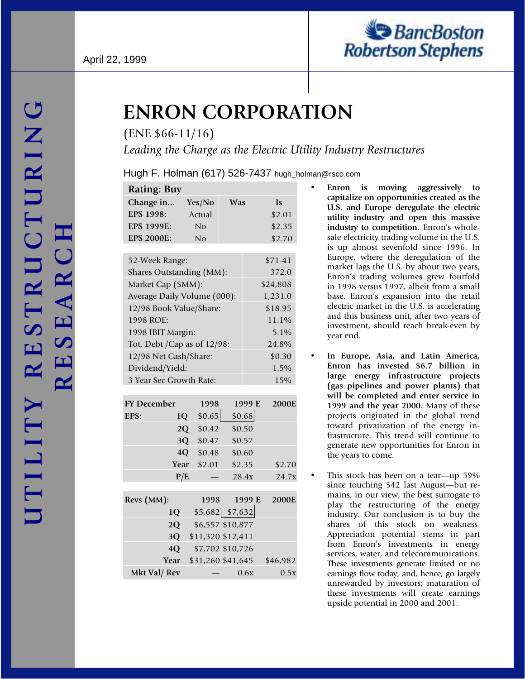

# **ENRON CORPORATION**

(ENE \$66-11/16)

*Leading the Charge as the Electric Utility Industry Restructures*

Hugh F. Holman (617) 526-7437 hugh\_holman@rsco.com

| <b>Rating: Buy</b>           |                   |                   |          |
|------------------------------|-------------------|-------------------|----------|
| Change in                    | Yes/No            | Was               | Is       |
| EPS 1998:                    | Actual            |                   | \$2.01   |
| <b>EPS 1999E:</b>            | N <sub>o</sub>    |                   | \$2.35   |
| <b>EPS 2000E:</b>            | No                |                   | \$2.70   |
|                              |                   |                   |          |
| 52-Week Range:               |                   |                   | $$71-41$ |
| Shares Outstanding (MM):     |                   |                   | 372.0    |
| Market Cap (\$MM):           |                   |                   | \$24,808 |
| Average Daily Volume (000):  |                   |                   | 1,231.0  |
| 12/98 Book Value/Share:      |                   |                   | \$18.95  |
| 1998 ROE:                    |                   |                   | 11.1%    |
| 1998 IBIT Margin:            |                   |                   | 5.1%     |
| Tot. Debt / Cap as of 12/98: |                   |                   | 24.8%    |
| 12/98 Net Cash/Share:        |                   |                   | \$0.30   |
| Dividend/Yield:              |                   |                   | 1.5%     |
| 3 Year Sec Growth Rate:      |                   |                   | 15%      |
|                              |                   |                   |          |
| <b>FY December</b>           | 1998              | 1999 E            | 2000E    |
| EPS:                         | \$0.65<br>1Q      | \$0.68            |          |
|                              | 2Q<br>\$0.42      | \$0.50            |          |
|                              | 3Q<br>\$0.47      | \$0.57            |          |
|                              | 4Q<br>\$0.48      | \$0.60            |          |
| Year                         | \$2.01            | \$2.35            | \$2.70   |
|                              | P/E               | 28.4x             | 24.7x    |
|                              | 1998              |                   | 2000E    |
| Revs (MM):                   |                   | 1999 E            |          |
| 1Q                           |                   | $$5,682$ $$7,632$ |          |
| 2Q                           |                   | \$6,557 \$10,877  |          |
| 3Q                           | \$11,320 \$12,411 |                   |          |
| 4Q                           |                   | \$7,702 \$10,726  |          |
| Year                         | \$31,260 \$41,645 |                   | \$46,982 |
| Mkt Val/ Rev                 |                   | 0.6x              | 0.5x     |

- **Enron is moving aggressively to capitalize on opportunities created as the U.S. and Europe deregulate the electric utility industry and open this massive industry to competition.** Enron's wholesale electricity trading volume in the U.S. is up almost sevenfold since 1996. In Europe, where the deregulation of the market lags the U.S. by about two years, Enron's trading volumes grew fourfold in 1998 versus 1997, albeit from a small base. Enron's expansion into the retail electric market in the U.S. is accelerating and this business unit, after two years of investment, should reach break-even by year end.
- **In Europe, Asia, and Latin America, Enron has invested \$6.7 billion in large energy infrastructure projects (gas pipelines and power plants) that will be completed and enter service in 1999 and the year 2000.** Many of these projects originated in the global trend toward privatization of the energy infrastructure. This trend will continue to generate new opportunities for Enron in the years to come.
- This stock has been on a tear—up 59% since touching \$42 last August—but remains, in our view, the best surrogate to play the restructuring of the energy industry. Our conclusion is to buy the shares of this stock on weakness. Appreciation potential stems in part from Enron's investments in energy services, water, and telecommunications. These investments generate limited or no earnings flow today, and, hence, go largely unrewarded by investors; maturation of these investments will create earnings upside potential in 2000 and 2001.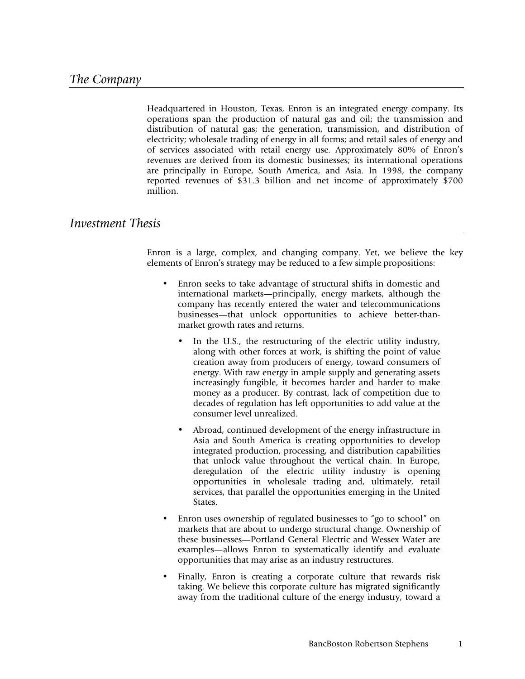Headquartered in Houston, Texas, Enron is an integrated energy company. Its operations span the production of natural gas and oil; the transmission and distribution of natural gas; the generation, transmission, and distribution of electricity; wholesale trading of energy in all forms; and retail sales of energy and of services associated with retail energy use. Approximately 80% of Enron's revenues are derived from its domestic businesses; its international operations are principally in Europe, South America, and Asia. In 1998, the company reported revenues of \$31.3 billion and net income of approximately \$700 million.

# *Investment Thesis*

Enron is a large, complex, and changing company. Yet, we believe the key elements of Enron's strategy may be reduced to a few simple propositions:

- Enron seeks to take advantage of structural shifts in domestic and international markets—principally, energy markets, although the company has recently entered the water and telecommunications businesses—that unlock opportunities to achieve better-thanmarket growth rates and returns.
	- In the U.S., the restructuring of the electric utility industry, along with other forces at work, is shifting the point of value creation away from producers of energy, toward consumers of energy. With raw energy in ample supply and generating assets increasingly fungible, it becomes harder and harder to make money as a producer. By contrast, lack of competition due to decades of regulation has left opportunities to add value at the consumer level unrealized.
	- Abroad, continued development of the energy infrastructure in Asia and South America is creating opportunities to develop integrated production, processing, and distribution capabilities that unlock value throughout the vertical chain. In Europe, deregulation of the electric utility industry is opening opportunities in wholesale trading and, ultimately, retail services, that parallel the opportunities emerging in the United States.
- Enron uses ownership of regulated businesses to "go to school" on markets that are about to undergo structural change. Ownership of these businesses—Portland General Electric and Wessex Water are examples—allows Enron to systematically identify and evaluate opportunities that may arise as an industry restructures.
- Finally, Enron is creating a corporate culture that rewards risk taking. We believe this corporate culture has migrated significantly away from the traditional culture of the energy industry, toward a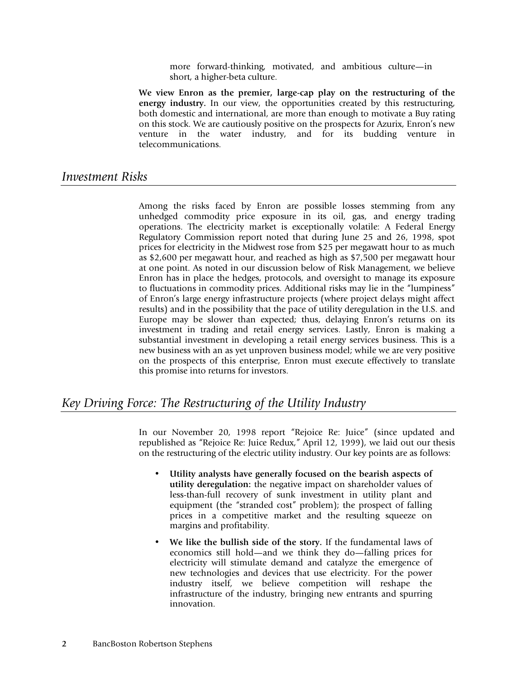more forward-thinking, motivated, and ambitious culture—in short, a higher-beta culture.

**We view Enron as the premier, large-cap play on the restructuring of the** energy industry. In our view, the opportunities created by this restructuring, both domestic and international, are more than enough to motivate a Buy rating on this stock. We are cautiously positive on the prospects for Azurix, Enron's new venture in the water industry, and for its budding venture in telecommunications.

# *Investment Risks*

Among the risks faced by Enron are possible losses stemming from any unhedged commodity price exposure in its oil, gas, and energy trading operations. The electricity market is exceptionally volatile: A Federal Energy Regulatory Commission report noted that during June 25 and 26, 1998, spot prices for electricity in the Midwest rose from \$25 per megawatt hour to as much as \$2,600 per megawatt hour, and reached as high as \$7,500 per megawatt hour at one point. As noted in our discussion below of Risk Management, we believe Enron has in place the hedges, protocols, and oversight to manage its exposure to fluctuations in commodity prices. Additional risks may lie in the "lumpiness" of Enron's large energy infrastructure projects (where project delays might affect results) and in the possibility that the pace of utility deregulation in the U.S. and Europe may be slower than expected; thus, delaying Enron's returns on its investment in trading and retail energy services. Lastly, Enron is making a substantial investment in developing a retail energy services business. This is a new business with an as yet unproven business model; while we are very positive on the prospects of this enterprise, Enron must execute effectively to translate this promise into returns for investors.

# *Key Driving Force: The Restructuring of the Utility Industry*

In our November 20, 1998 report "Rejoice Re: Juice" (since updated and republished as "Rejoice Re: Juice Redux," April 12, 1999), we laid out our thesis on the restructuring of the electric utility industry. Our key points are as follows:

- **Utility analysts have generally focused on the bearish aspects of utility deregulation:** the negative impact on shareholder values of less-than-full recovery of sunk investment in utility plant and equipment (the "stranded cost" problem); the prospect of falling prices in a competitive market and the resulting squeeze on margins and profitability.
- **We like the bullish side of the story.** If the fundamental laws of economics still hold—and we think they do—falling prices for electricity will stimulate demand and catalyze the emergence of new technologies and devices that use electricity. For the power industry itself, we believe competition will reshape the infrastructure of the industry, bringing new entrants and spurring innovation.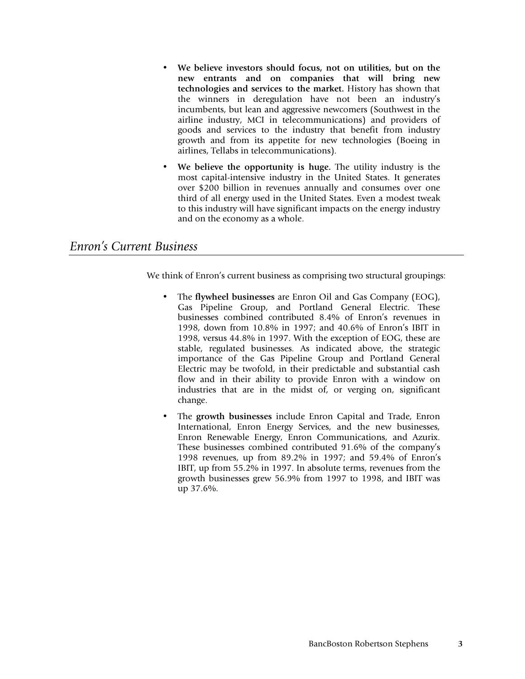- **We believe investors should focus, not on utilities, but on the new entrants and on companies that will bring new technologies and services to the market.** History has shown that the winners in deregulation have not been an industry's incumbents, but lean and aggressive newcomers (Southwest in the airline industry, MCI in telecommunications) and providers of goods and services to the industry that benefit from industry growth and from its appetite for new technologies (Boeing in airlines, Tellabs in telecommunications).
- **We believe the opportunity is huge.** The utility industry is the most capital-intensive industry in the United States. It generates over \$200 billion in revenues annually and consumes over one third of all energy used in the United States. Even a modest tweak to this industry will have significant impacts on the energy industry and on the economy as a whole.

# *Enron's Current Business*

We think of Enron's current business as comprising two structural groupings:

- The **flywheel businesses** are Enron Oil and Gas Company (EOG), Gas Pipeline Group, and Portland General Electric. These businesses combined contributed 8.4% of Enron's revenues in 1998, down from 10.8% in 1997; and 40.6% of Enron's IBIT in 1998, versus 44.8% in 1997. With the exception of EOG, these are stable, regulated businesses. As indicated above, the strategic importance of the Gas Pipeline Group and Portland General Electric may be twofold, in their predictable and substantial cash flow and in their ability to provide Enron with a window on industries that are in the midst of, or verging on, significant change.
- The **growth businesses** include Enron Capital and Trade, Enron International, Enron Energy Services, and the new businesses, Enron Renewable Energy, Enron Communications, and Azurix. These businesses combined contributed 91.6% of the company's 1998 revenues, up from 89.2% in 1997; and 59.4% of Enron's IBIT, up from 55.2% in 1997. In absolute terms, revenues from the growth businesses grew 56.9% from 1997 to 1998, and IBIT was up 37.6%.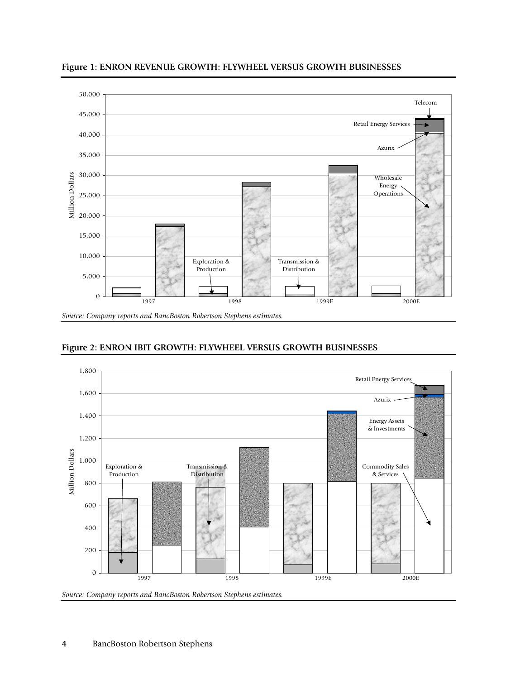

**Figure 1: ENRON REVENUE GROWTH: FLYWHEEL VERSUS GROWTH BUSINESSES**

**Figure 2: ENRON IBIT GROWTH: FLYWHEEL VERSUS GROWTH BUSINESSES**



*Source: Company reports and BancBoston Robertson Stephens estimates.*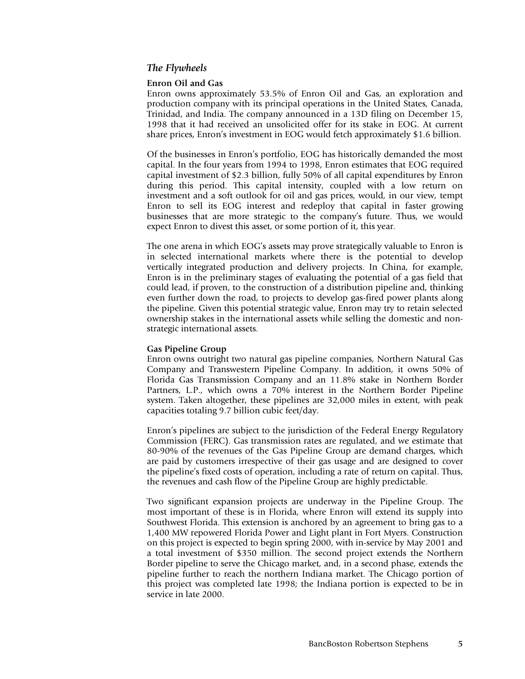### *The Flywheels*

### **Enron Oil and Gas**

Enron owns approximately 53.5% of Enron Oil and Gas, an exploration and production company with its principal operations in the United States, Canada, Trinidad, and India. The company announced in a 13D filing on December 15, 1998 that it had received an unsolicited offer for its stake in EOG. At current share prices, Enron's investment in EOG would fetch approximately \$1.6 billion.

Of the businesses in Enron's portfolio, EOG has historically demanded the most capital. In the four years from 1994 to 1998, Enron estimates that EOG required capital investment of \$2.3 billion, fully 50% of all capital expenditures by Enron during this period. This capital intensity, coupled with a low return on investment and a soft outlook for oil and gas prices, would, in our view, tempt Enron to sell its EOG interest and redeploy that capital in faster growing businesses that are more strategic to the company's future. Thus, we would expect Enron to divest this asset, or some portion of it, this year.

The one arena in which EOG's assets may prove strategically valuable to Enron is in selected international markets where there is the potential to develop vertically integrated production and delivery projects. In China, for example, Enron is in the preliminary stages of evaluating the potential of a gas field that could lead, if proven, to the construction of a distribution pipeline and, thinking even further down the road, to projects to develop gas-fired power plants along the pipeline. Given this potential strategic value, Enron may try to retain selected ownership stakes in the international assets while selling the domestic and nonstrategic international assets.

### **Gas Pipeline Group**

Enron owns outright two natural gas pipeline companies, Northern Natural Gas Company and Transwestern Pipeline Company. In addition, it owns 50% of Florida Gas Transmission Company and an 11.8% stake in Northern Border Partners, L.P., which owns a 70% interest in the Northern Border Pipeline system. Taken altogether, these pipelines are 32,000 miles in extent, with peak capacities totaling 9.7 billion cubic feet/day.

Enron's pipelines are subject to the jurisdiction of the Federal Energy Regulatory Commission (FERC). Gas transmission rates are regulated, and we estimate that 80-90% of the revenues of the Gas Pipeline Group are demand charges, which are paid by customers irrespective of their gas usage and are designed to cover the pipeline's fixed costs of operation, including a rate of return on capital. Thus, the revenues and cash flow of the Pipeline Group are highly predictable.

Two significant expansion projects are underway in the Pipeline Group. The most important of these is in Florida, where Enron will extend its supply into Southwest Florida. This extension is anchored by an agreement to bring gas to a 1,400 MW repowered Florida Power and Light plant in Fort Myers. Construction on this project is expected to begin spring 2000, with in-service by May 2001 and a total investment of \$350 million. The second project extends the Northern Border pipeline to serve the Chicago market, and, in a second phase, extends the pipeline further to reach the northern Indiana market. The Chicago portion of this project was completed late 1998; the Indiana portion is expected to be in service in late 2000.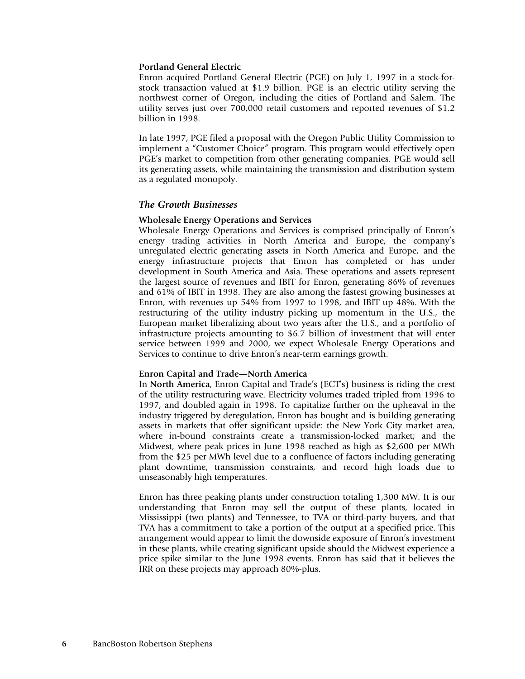### **Portland General Electric**

Enron acquired Portland General Electric (PGE) on July 1, 1997 in a stock-forstock transaction valued at \$1.9 billion. PGE is an electric utility serving the northwest corner of Oregon, including the cities of Portland and Salem. The utility serves just over 700,000 retail customers and reported revenues of \$1.2 billion in 1998.

In late 1997, PGE filed a proposal with the Oregon Public Utility Commission to implement a "Customer Choice" program. This program would effectively open PGE's market to competition from other generating companies. PGE would sell its generating assets, while maintaining the transmission and distribution system as a regulated monopoly.

### *The Growth Businesses*

### **Wholesale Energy Operations and Services**

Wholesale Energy Operations and Services is comprised principally of Enron's energy trading activities in North America and Europe, the company's unregulated electric generating assets in North America and Europe, and the energy infrastructure projects that Enron has completed or has under development in South America and Asia. These operations and assets represent the largest source of revenues and IBIT for Enron, generating 86% of revenues and 61% of IBIT in 1998. They are also among the fastest growing businesses at Enron, with revenues up 54% from 1997 to 1998, and IBIT up 48%. With the restructuring of the utility industry picking up momentum in the U.S., the European market liberalizing about two years after the U.S., and a portfolio of infrastructure projects amounting to \$6.7 billion of investment that will enter service between 1999 and 2000, we expect Wholesale Energy Operations and Services to continue to drive Enron's near-term earnings growth.

#### **Enron Capital and Trade—North America**

In **North America**, Enron Capital and Trade's (ECT's) business is riding the crest of the utility restructuring wave. Electricity volumes traded tripled from 1996 to 1997, and doubled again in 1998. To capitalize further on the upheaval in the industry triggered by deregulation, Enron has bought and is building generating assets in markets that offer significant upside: the New York City market area, where in-bound constraints create a transmission-locked market; and the Midwest, where peak prices in June 1998 reached as high as \$2,600 per MWh from the \$25 per MWh level due to a confluence of factors including generating plant downtime, transmission constraints, and record high loads due to unseasonably high temperatures.

Enron has three peaking plants under construction totaling 1,300 MW. It is our understanding that Enron may sell the output of these plants, located in Mississippi (two plants) and Tennessee, to TVA or third-party buyers, and that TVA has a commitment to take a portion of the output at a specified price. This arrangement would appear to limit the downside exposure of Enron's investment in these plants, while creating significant upside should the Midwest experience a price spike similar to the June 1998 events. Enron has said that it believes the IRR on these projects may approach 80%-plus.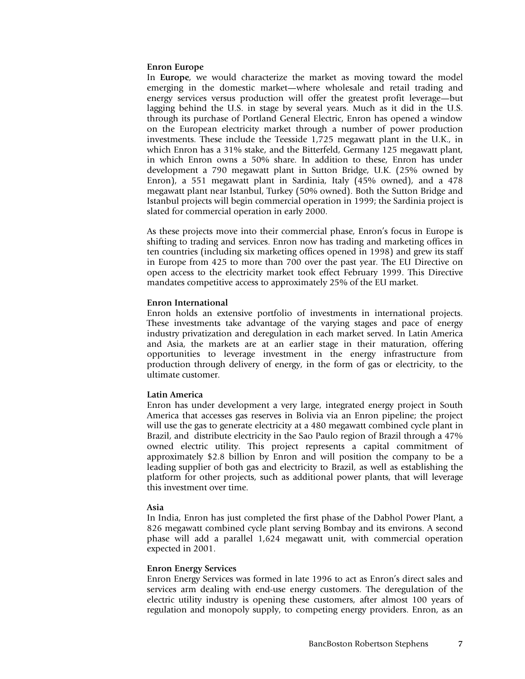### **Enron Europe**

In **Europe**, we would characterize the market as moving toward the model emerging in the domestic market—where wholesale and retail trading and energy services versus production will offer the greatest profit leverage—but lagging behind the U.S. in stage by several years. Much as it did in the U.S. through its purchase of Portland General Electric, Enron has opened a window on the European electricity market through a number of power production investments. These include the Teesside 1,725 megawatt plant in the U.K., in which Enron has a 31% stake, and the Bitterfeld, Germany 125 megawatt plant, in which Enron owns a 50% share. In addition to these, Enron has under development a 790 megawatt plant in Sutton Bridge, U.K. (25% owned by Enron), a 551 megawatt plant in Sardinia, Italy (45% owned), and a 478 megawatt plant near Istanbul, Turkey (50% owned). Both the Sutton Bridge and Istanbul projects will begin commercial operation in 1999; the Sardinia project is slated for commercial operation in early 2000.

As these projects move into their commercial phase, Enron's focus in Europe is shifting to trading and services. Enron now has trading and marketing offices in ten countries (including six marketing offices opened in 1998) and grew its staff in Europe from 425 to more than 700 over the past year. The EU Directive on open access to the electricity market took effect February 1999. This Directive mandates competitive access to approximately 25% of the EU market.

### **Enron International**

Enron holds an extensive portfolio of investments in international projects. These investments take advantage of the varying stages and pace of energy industry privatization and deregulation in each market served. In Latin America and Asia, the markets are at an earlier stage in their maturation, offering opportunities to leverage investment in the energy infrastructure from production through delivery of energy, in the form of gas or electricity, to the ultimate customer.

### **Latin America**

Enron has under development a very large, integrated energy project in South America that accesses gas reserves in Bolivia via an Enron pipeline; the project will use the gas to generate electricity at a 480 megawatt combined cycle plant in Brazil, and distribute electricity in the Sao Paulo region of Brazil through a 47% owned electric utility. This project represents a capital commitment of approximately \$2.8 billion by Enron and will position the company to be a leading supplier of both gas and electricity to Brazil, as well as establishing the platform for other projects, such as additional power plants, that will leverage this investment over time.

#### **Asia**

In India, Enron has just completed the first phase of the Dabhol Power Plant, a 826 megawatt combined cycle plant serving Bombay and its environs. A second phase will add a parallel 1,624 megawatt unit, with commercial operation expected in 2001.

#### **Enron Energy Services**

Enron Energy Services was formed in late 1996 to act as Enron's direct sales and services arm dealing with end-use energy customers. The deregulation of the electric utility industry is opening these customers, after almost 100 years of regulation and monopoly supply, to competing energy providers. Enron, as an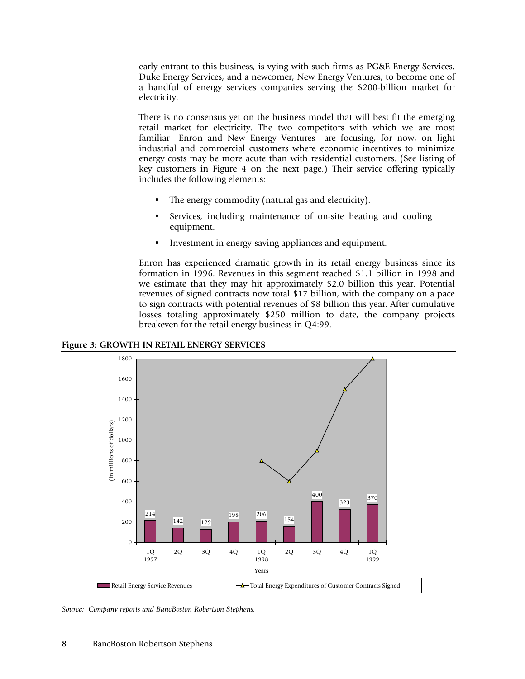early entrant to this business, is vying with such firms as PG&E Energy Services, Duke Energy Services, and a newcomer, New Energy Ventures, to become one of a handful of energy services companies serving the \$200-billion market for electricity.

There is no consensus yet on the business model that will best fit the emerging retail market for electricity. The two competitors with which we are most familiar—Enron and New Energy Ventures—are focusing, for now, on light industrial and commercial customers where economic incentives to minimize energy costs may be more acute than with residential customers. (See listing of key customers in Figure 4 on the next page.) Their service offering typically includes the following elements:

- The energy commodity (natural gas and electricity).
- Services, including maintenance of on-site heating and cooling equipment.
- Investment in energy-saving appliances and equipment.

Enron has experienced dramatic growth in its retail energy business since its formation in 1996. Revenues in this segment reached \$1.1 billion in 1998 and we estimate that they may hit approximately \$2.0 billion this year. Potential revenues of signed contracts now total \$17 billion, with the company on a pace to sign contracts with potential revenues of \$8 billion this year. After cumulative losses totaling approximately \$250 million to date, the company projects breakeven for the retail energy business in Q4:99.





*Source: Company reports and BancBoston Robertson Stephens.*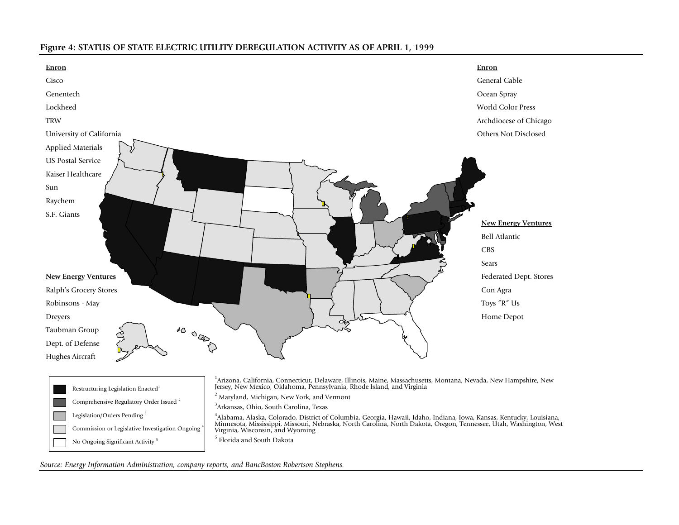### **Figure 4: STATUS OF STATE ELECTRIC UTILITY DEREGULATION ACTIVITY AS OF APRIL 1, 1999**



<sup>5</sup> Florida and South Dakota

*Source: Energy Information Administration, company reports, and BancBoston Robertson Stephens.*

No Ongoing Significant Activity<sup>5</sup>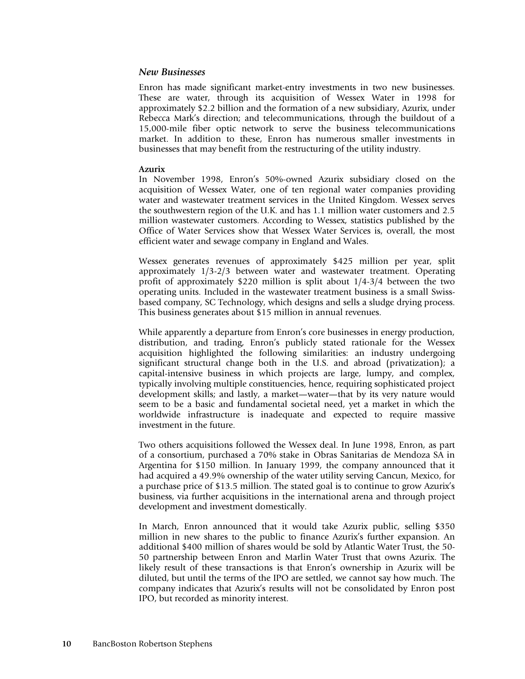### *New Businesses*

Enron has made significant market-entry investments in two new businesses. These are water, through its acquisition of Wessex Water in 1998 for approximately \$2.2 billion and the formation of a new subsidiary, Azurix, under Rebecca Mark's direction; and telecommunications, through the buildout of a 15,000-mile fiber optic network to serve the business telecommunications market. In addition to these, Enron has numerous smaller investments in businesses that may benefit from the restructuring of the utility industry.

### **Azurix**

In November 1998, Enron's 50%-owned Azurix subsidiary closed on the acquisition of Wessex Water, one of ten regional water companies providing water and wastewater treatment services in the United Kingdom. Wessex serves the southwestern region of the U.K. and has 1.1 million water customers and 2.5 million wastewater customers. According to Wessex, statistics published by the Office of Water Services show that Wessex Water Services is, overall, the most efficient water and sewage company in England and Wales.

Wessex generates revenues of approximately \$425 million per year, split approximately 1/3-2/3 between water and wastewater treatment. Operating profit of approximately \$220 million is split about 1/4-3/4 between the two operating units. Included in the wastewater treatment business is a small Swissbased company, SC Technology, which designs and sells a sludge drying process. This business generates about \$15 million in annual revenues.

While apparently a departure from Enron's core businesses in energy production, distribution, and trading, Enron's publicly stated rationale for the Wessex acquisition highlighted the following similarities: an industry undergoing significant structural change both in the U.S. and abroad (privatization); a capital-intensive business in which projects are large, lumpy, and complex, typically involving multiple constituencies, hence, requiring sophisticated project development skills; and lastly, a market—water—that by its very nature would seem to be a basic and fundamental societal need, yet a market in which the worldwide infrastructure is inadequate and expected to require massive investment in the future.

Two others acquisitions followed the Wessex deal. In June 1998, Enron, as part of a consortium, purchased a 70% stake in Obras Sanitarias de Mendoza SA in Argentina for \$150 million. In January 1999, the company announced that it had acquired a 49.9% ownership of the water utility serving Cancun, Mexico, for a purchase price of \$13.5 million. The stated goal is to continue to grow Azurix's business, via further acquisitions in the international arena and through project development and investment domestically.

In March, Enron announced that it would take Azurix public, selling \$350 million in new shares to the public to finance Azurix's further expansion. An additional \$400 million of shares would be sold by Atlantic Water Trust, the 50- 50 partnership between Enron and Marlin Water Trust that owns Azurix. The likely result of these transactions is that Enron's ownership in Azurix will be diluted, but until the terms of the IPO are settled, we cannot say how much. The company indicates that Azurix's results will not be consolidated by Enron post IPO, but recorded as minority interest.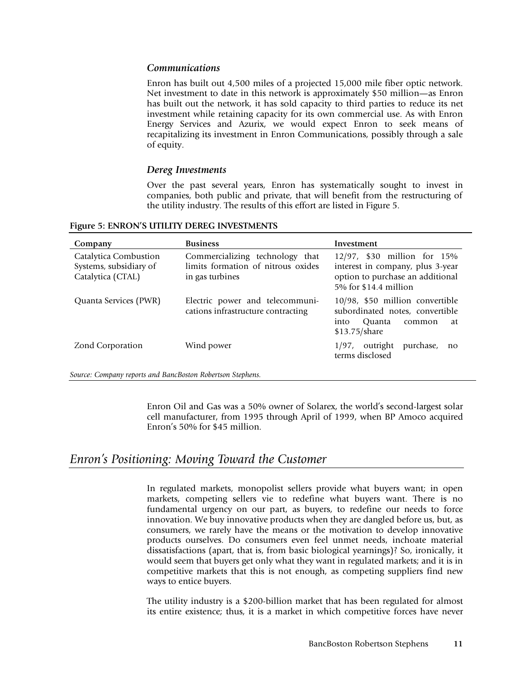# *Communications*

Enron has built out 4,500 miles of a projected 15,000 mile fiber optic network. Net investment to date in this network is approximately \$50 million—as Enron has built out the network, it has sold capacity to third parties to reduce its net investment while retaining capacity for its own commercial use. As with Enron Energy Services and Azurix, we would expect Enron to seek means of recapitalizing its investment in Enron Communications, possibly through a sale of equity.

### *Dereg Investments*

Over the past several years, Enron has systematically sought to invest in companies, both public and private, that will benefit from the restructuring of the utility industry. The results of this effort are listed in Figure 5.

| Company                                                              | <b>Business</b>                                                                          | Investment                                                                                                                   |
|----------------------------------------------------------------------|------------------------------------------------------------------------------------------|------------------------------------------------------------------------------------------------------------------------------|
| Catalytica Combustion<br>Systems, subsidiary of<br>Catalytica (CTAL) | Commercializing technology that<br>limits formation of nitrous oxides<br>in gas turbines | 12/97, \$30 million for 15%<br>interest in company, plus 3-year<br>option to purchase an additional<br>5% for \$14.4 million |
| Quanta Services (PWR)                                                | Electric power and telecommuni-<br>cations infrastructure contracting                    | 10/98, \$50 million convertible<br>subordinated notes, convertible<br><b>Ouanta</b><br>into<br>common<br>at<br>\$13.75/share |
| Zond Corporation                                                     | Wind power                                                                               | outright<br>purchase,<br>1/97.<br>$\mathbf{n}$<br>terms disclosed                                                            |

**Figure 5: ENRON'S UTILITY DEREG INVESTMENTS**

*Source: Company reports and BancBoston Robertson Stephens.*

Enron Oil and Gas was a 50% owner of Solarex, the world's second-largest solar cell manufacturer, from 1995 through April of 1999, when BP Amoco acquired Enron's 50% for \$45 million.

# *Enron's Positioning: Moving Toward the Customer*

In regulated markets, monopolist sellers provide what buyers want; in open markets, competing sellers vie to redefine what buyers want. There is no fundamental urgency on our part, as buyers, to redefine our needs to force innovation. We buy innovative products when they are dangled before us, but, as consumers, we rarely have the means or the motivation to develop innovative products ourselves. Do consumers even feel unmet needs, inchoate material dissatisfactions (apart, that is, from basic biological yearnings)? So, ironically, it would seem that buyers get only what they want in regulated markets; and it is in competitive markets that this is not enough, as competing suppliers find new ways to entice buyers.

The utility industry is a \$200-billion market that has been regulated for almost its entire existence; thus, it is a market in which competitive forces have never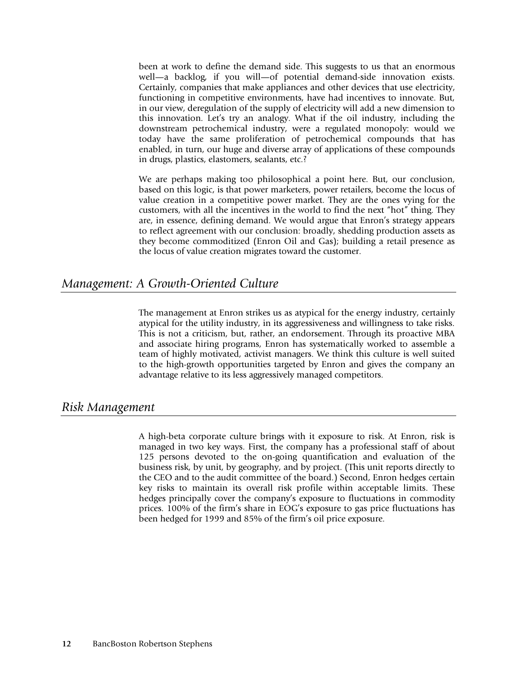been at work to define the demand side. This suggests to us that an enormous well—a backlog, if you will—of potential demand-side innovation exists. Certainly, companies that make appliances and other devices that use electricity, functioning in competitive environments, have had incentives to innovate. But, in our view, deregulation of the supply of electricity will add a new dimension to this innovation. Let's try an analogy. What if the oil industry, including the downstream petrochemical industry, were a regulated monopoly: would we today have the same proliferation of petrochemical compounds that has enabled, in turn, our huge and diverse array of applications of these compounds in drugs, plastics, elastomers, sealants, etc.?

We are perhaps making too philosophical a point here. But, our conclusion, based on this logic, is that power marketers, power retailers, become the locus of value creation in a competitive power market. They are the ones vying for the customers, with all the incentives in the world to find the next "hot" thing. They are, in essence, defining demand. We would argue that Enron's strategy appears to reflect agreement with our conclusion: broadly, shedding production assets as they become commoditized (Enron Oil and Gas); building a retail presence as the locus of value creation migrates toward the customer.

# *Management: A Growth-Oriented Culture*

The management at Enron strikes us as atypical for the energy industry, certainly atypical for the utility industry, in its aggressiveness and willingness to take risks. This is not a criticism, but, rather, an endorsement. Through its proactive MBA and associate hiring programs, Enron has systematically worked to assemble a team of highly motivated, activist managers. We think this culture is well suited to the high-growth opportunities targeted by Enron and gives the company an advantage relative to its less aggressively managed competitors.

# *Risk Management*

A high-beta corporate culture brings with it exposure to risk. At Enron, risk is managed in two key ways. First, the company has a professional staff of about 125 persons devoted to the on-going quantification and evaluation of the business risk, by unit, by geography, and by project. (This unit reports directly to the CEO and to the audit committee of the board.) Second, Enron hedges certain key risks to maintain its overall risk profile within acceptable limits. These hedges principally cover the company's exposure to fluctuations in commodity prices. 100% of the firm's share in EOG's exposure to gas price fluctuations has been hedged for 1999 and 85% of the firm's oil price exposure.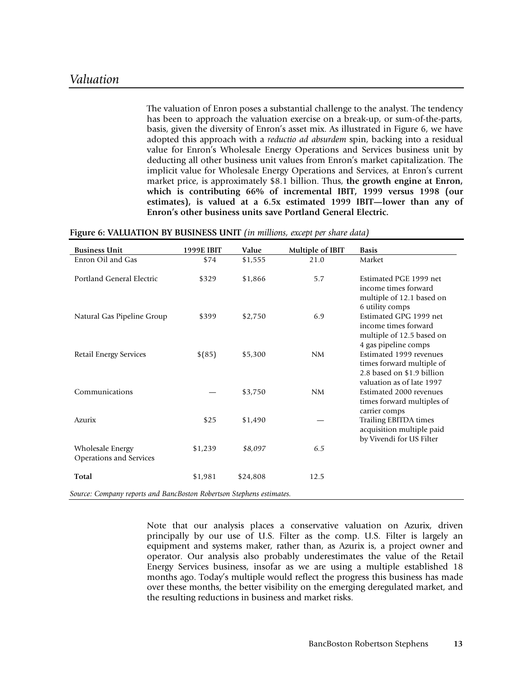The valuation of Enron poses a substantial challenge to the analyst. The tendency has been to approach the valuation exercise on a break-up, or sum-of-the-parts, basis, given the diversity of Enron's asset mix. As illustrated in Figure 6, we have adopted this approach with a *reductio ad absurdem* spin, backing into a residual value for Enron's Wholesale Energy Operations and Services business unit by deducting all other business unit values from Enron's market capitalization. The implicit value for Wholesale Energy Operations and Services, at Enron's current market price, is approximately \$8.1 billion. Thus, **the growth engine at Enron, which is contributing 66% of incremental IBIT, 1999 versus 1998 (our estimates), is valued at a 6.5x estimated 1999 IBIT—lower than any of Enron's other business units save Portland General Electric.**

| Multiple of IBIT<br><b>Basis</b>                                                                                      |
|-----------------------------------------------------------------------------------------------------------------------|
| Market<br>21.0                                                                                                        |
| 5.7<br>Estimated PGE 1999 net<br>income times forward<br>multiple of 12.1 based on<br>6 utility comps                 |
| Estimated GPG 1999 net<br>6.9<br>income times forward<br>multiple of 12.5 based on<br>4 gas pipeline comps            |
| Estimated 1999 revenues<br>NM<br>times forward multiple of<br>2.8 based on \$1.9 billion<br>valuation as of late 1997 |
| Estimated 2000 revenues<br>NM<br>times forward multiples of<br>carrier comps                                          |
| <b>Trailing EBITDA times</b><br>acquisition multiple paid<br>by Vivendi for US Filter                                 |
| 6.5                                                                                                                   |
| 12.5                                                                                                                  |
|                                                                                                                       |

**Figure 6: VALUATION BY BUSINESS UNIT** *(in millions, except per share data)*

Note that our analysis places a conservative valuation on Azurix, driven principally by our use of U.S. Filter as the comp. U.S. Filter is largely an equipment and systems maker, rather than, as Azurix is, a project owner and operator. Our analysis also probably underestimates the value of the Retail Energy Services business, insofar as we are using a multiple established 18 months ago. Today's multiple would reflect the progress this business has made over these months, the better visibility on the emerging deregulated market, and the resulting reductions in business and market risks.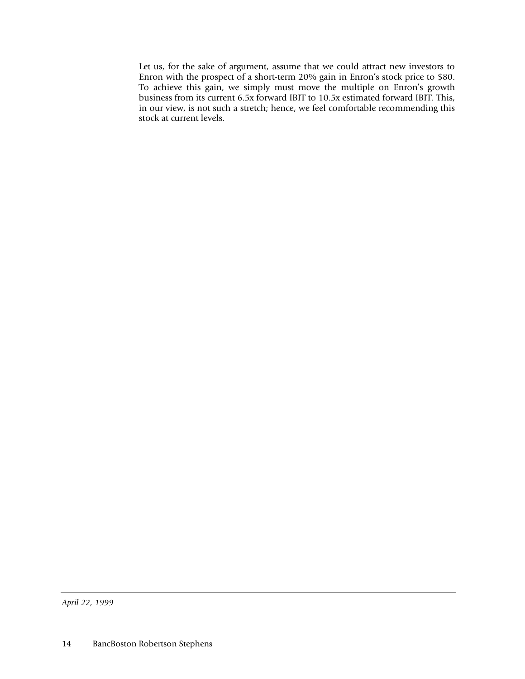Let us, for the sake of argument, assume that we could attract new investors to Enron with the prospect of a short-term 20% gain in Enron's stock price to \$80. To achieve this gain, we simply must move the multiple on Enron's growth business from its current 6.5x forward IBIT to 10.5x estimated forward IBIT. This, in our view, is not such a stretch; hence, we feel comfortable recommending this stock at current levels.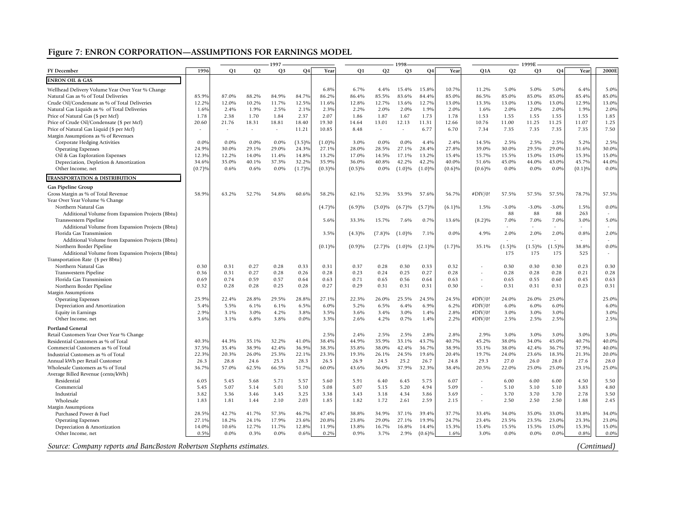# **Figure 7: ENRON CORPORATION—ASSUMPTIONS FOR EARNINGS MODEL**

|                                                                      |        |                |         | 1997           |        |           |           |           | 1998-          |                      |        |                          |         | 1999E          |           |        |             |
|----------------------------------------------------------------------|--------|----------------|---------|----------------|--------|-----------|-----------|-----------|----------------|----------------------|--------|--------------------------|---------|----------------|-----------|--------|-------------|
| <b>FY</b> December                                                   | 1996   | O <sub>1</sub> | Q2      | Q <sub>3</sub> | Q4     | Year      | Q1        | Q2        | Q <sub>3</sub> | Q4                   | Year   | Q1A                      | Q2      | Q3             | <b>Q4</b> | Year   | 2000E       |
| <b>ENRON OIL &amp; GAS</b>                                           |        |                |         |                |        |           |           |           |                |                      |        |                          |         |                |           |        |             |
| Wellhead Delivery Volume Year Over Year % Change                     |        |                |         |                |        | 6.8%      | 6.7%      | 4.4%      | 15.4%          | 15.8%                | 10.7%  | 11.2%                    | 5.0%    | 5.0%           | 5.0%      | 6.4%   | 5.0%        |
| Natural Gas as % of Total Deliveries                                 | 85.9%  | 87.0%          | 88.2%   | 84.9%          | 84.7%  | 86.2%     | 86.4%     | 85.5%     | 83.6%          | 84.4%                | 85.0%  | 86.5%                    | 85.0%   | 85.0%          | 85.0%     | 85.4%  | 85.0%       |
| Crude Oil/Condensate as % of Total Deliveries                        | 12.2%  | 12.0%          | 10.2%   | 11.7%          | 12.5%  | 11.6%     | 12.8%     | 12.7%     | 13.6%          | 12.7%                | 13.0%  | 13.3%                    | 13.0%   | 13.0%          | 13.0%     | 12.9%  | 13.0%       |
| Natural Gas Liquids as % of Total Deliveries                         | 1.6%   | 2.4%           | 1.9%    | 2.5%           | 2.1%   | 2.3%      | 2.2%      | 2.0%      | 2.0%           | 1.9%                 | 2.0%   | 1.6%                     | 2.0%    | 2.0%           | 2.0%      | 1.9%   | 2.0%        |
| Price of Natural Gas (\$ per Mcf)                                    | 1.78   | 2.38           | 1.70    | 1.84           | 2.37   | 2.07      | 1.86      | 1.87      | 1.67           | 1.73                 | 1.78   | 1.53                     | 1.55    | 1.55           | 1.55      | 1.55   | 1.85        |
| Price of Crude Oil/Condensate (\$ per Mcf)                           | 20.60  | 21.76          | 18.31   | 18.81          | 18.40  | 19.30     | 14.64     | 13.01     | 12.13          | 11.31                | 12.66  | 10.76                    | 11.00   | 11.25          | 11.25     | 11.07  | 1.25        |
| Price of Natural Gas Liquid (\$ per Mcf)                             | $\sim$ |                | $\sim$  | $\sim$         | 11.21  | 10.85     | 8.48      |           |                | 6.77                 | 6.70   | 7.34                     | 7.35    | 7.35           | 7.35      | 7.35   | 7.50        |
| Margin Assumptions as % of Revenues                                  |        |                |         |                |        |           |           |           |                |                      |        |                          |         |                |           |        |             |
| Corporate Hedging Activities                                         | 0.0%   | $0.0\%$        | $0.0\%$ | $0.0\%$        | (3.5)% | $(1.0)\%$ | 3.0%      | $0.0\%$   | $0.0\%$        | 4.4%                 | 2.4%   | 14.5%                    | 2.5%    | 2.5%           | 2.5%      | 5.2%   | 2.5%        |
| <b>Operating Expenses</b>                                            | 24.9%  | 30.0%          | 29.1%   | 29.0%          | 24.3%  | 27.1%     | 28.0%     | 28.5%     | 27.1%          | 28.4%                | 27.8%  | 39.0%                    | 30.0%   | 29.5%          | 29.0%     | 31.6%  | 30.0%       |
| Oil & Gas Exploration Expenses                                       | 12.3%  | 12.2%          | 14.0%   | 11.4%          | 14.8%  | 13.2%     | 17.0%     | 14.5%     | 17.1%          | 13.2%                | 15.4%  | 15.7%                    | 15.5%   | 15.0%          | 15.0%     | 15.3%  | 15.0%       |
| Depreciation, Depletion & Amortization                               | 34.6%  | 35.0%          | 40.1%   | 37.3%          | 32.2%  | 35.9%     | 36.0%     | 40.8%     | 42.2%          | 42.2%                | 40.0%  | 51.6%                    | 45.0%   | 44.0%          | 43.0%     | 45.7%  | 44.0%       |
| Other Income, net                                                    | (0.7)% | 0.6%           | 0.6%    | $0.0\%$        | (1.7)% | (0.3)%    | (0.5)%    | $0.0\%$   | $(1.0)\%$      | $(1.0)\%$            | (0.6)% | (0.6)%                   | 0.0%    | $0.0\%$        | 0.0%      | (0.1)% | 0.0%        |
| <b>TRANSPORTATION &amp; DISTRIBUTION</b>                             |        |                |         |                |        |           |           |           |                |                      |        |                          |         |                |           |        |             |
| <b>Gas Pipeline Group</b>                                            |        |                |         |                |        |           |           |           |                |                      |        |                          |         |                |           |        |             |
| Gross Margin as % of Total Revenue                                   | 58.9%  | 63.2%          | 52.7%   | 54.8%          | 60.6%  | 58.2%     | 62.1%     | 52.3%     | 53.9%          | 57.6%                | 56.7%  | #DIV/0!                  | 57.5%   | 57.5%          | 57.5%     | 78.7%  | 57.5%       |
| Year Over Year Volume % Change                                       |        |                |         |                |        |           |           |           |                |                      |        |                          |         |                |           |        |             |
| Northern Natural Gas                                                 |        |                |         |                |        | $(4.7)\%$ | (6.9)%    | $(5.0)\%$ | (6.7)%         | (5.7)%               | (6.1)% | 1.5%                     | $-3.0%$ | $-3.0%$        | $-3.0%$   | 1.5%   | $0.0\%$     |
| Additional Volume from Expansion Projects (Bbtu)                     |        |                |         |                |        |           |           |           |                |                      |        |                          | 88      | 88             | 88        | 263    |             |
| Transwestern Pipeline                                                |        |                |         |                |        | 5.6%      | 33.3%     | 15.7%     | 7.6%           | 0.7%                 | 13.6%  | $(8.2)\%$                | 7.0%    | 7.0%           | 7.0%      | 3.0%   | 5.0%        |
| Additional Volume from Expansion Projects (Bbtu)                     |        |                |         |                |        |           |           |           |                |                      |        |                          |         |                |           |        |             |
| Florida Gas Transmission                                             |        |                |         |                |        | 3.5%      | $(4.3)\%$ | $(7.8)\%$ | $(1.0)\%$      | 7.1%                 | 0.0%   | 4.9%                     | 2.0%    | 2.0%           | 2.0%      | 0.8%   | 2.0%        |
| Additional Volume from Expansion Projects (Bbtu)                     |        |                |         |                |        |           |           |           |                |                      |        |                          | $\sim$  | $\overline{a}$ |           |        |             |
| Northern Border Pipeline                                             |        |                |         |                |        | (0.1)%    | (0.9)%    | (2.7)%    | $(1.0)\%$      | (2.1)%               | (1.7)% | 35.1%                    | (1.5)%  | (1.5)%         | $(1.5)$ % | 38.8%  | 0.0%        |
| Additional Volume from Expansion Projects (Bbtu)                     |        |                |         |                |        |           |           |           |                |                      |        |                          | 175     | 175            | 175       | 525    |             |
| Transportation Rate (\$ per Bbtu)                                    |        |                |         |                |        |           |           |           |                |                      |        |                          |         |                |           |        |             |
| Northern Natural Gas                                                 | 0.30   | 0.31           | 0.27    | 0.28           | 0.33   | 0.31      | 0.37      | 0.28      | 0.30           | 0.33                 | 0.32   |                          | 0.30    | 0.30           | 0.30      | 0.23   | 0.30        |
| Transwestern Pipeline                                                | 0.36   | 0.31           | 0.27    | 0.28           | 0.26   | 0.28      | 0.23      | 0.24      | 0.25           | 0.27                 | 0.28   | $\overline{\phantom{a}}$ | 0.28    | 0.28           | 0.28      | 0.21   | 0.28        |
| Florida Gas Transmission                                             | 0.69   | 0.74           | 0.59    | 0.57           | 0.64   | 0.63      | 0.71      | 0.65      | 0.56           | 0.64                 | 0.63   |                          | 0.65    | 0.55           | 0.60      | 0.45   | 0.63        |
| Northern Border Pipeline                                             | 0.32   | 0.28           | 0.28    | 0.25           | 0.28   | 0.27      | 0.29      | 0.31      | 0.31           | 0.31                 | 0.30   | ÷.                       | 0.31    | 0.31           | 0.31      | 0.23   | 0.31        |
| Margin Assumptions                                                   |        |                |         |                |        |           |           |           |                |                      |        |                          |         |                |           |        |             |
| <b>Operating Expenses</b>                                            | 25.9%  | 22.4%          | 28.8%   | 29.5%          | 28.8%  | 27.1%     | 22.3%     | 26.0%     | 25.5%          | 24.5%                | 24.5%  | #DIV/0!                  | 24.0%   | 26.0%          | 25.0%     |        | 25.0%       |
| Depreciation and Amortization                                        | 5.4%   | 5.5%           | 6.1%    | 6.1%           | 6.5%   | 6.0%      | 5.2%      | 6.5%      | 6.4%           | 6.9%                 | 6.2%   | #DIV/0!                  | 6.0%    | 6.0%           | 6.0%      |        | 6.0%        |
| <b>Equity in Earnings</b>                                            | 2.9%   | 3.1%           | 3.0%    | 4.2%           | 3.8%   | 3.5%      | 3.6%      | 3.4%      | 3.0%           | 1.4%                 | 2.8%   | #DIV/0!                  | 3.0%    | 3.0%           | 3.0%      |        | 3.0%        |
| Other Income, net                                                    | 3.6%   | 3.1%           | 6.8%    | 3.8%           | 0.0%   | 3.3%      | 2.6%      | 4.2%      | 0.7%           | 1.4%                 | 2.2%   | #DIV/0!                  | 2.5%    | 2.5%           | 2.5%      |        | 2.5%        |
| <b>Portland General</b>                                              |        |                |         |                |        |           |           |           |                |                      |        |                          |         |                |           |        |             |
| Retail Customers Year Over Year % Change                             |        |                |         |                |        | 2.5%      | 2.4%      | 2.5%      | 2.5%           | 2.8%                 | 2.8%   | 2.9%                     | 3.0%    | 3.0%           | 3.0%      | 3.0%   | 3.0%        |
| Residential Customers as % of Total                                  | 40.3%  | 44.3%          | 35.1%   | 32.2%          | 41.0%  | 38.4%     | 44.9%     | 35.9%     | 33.1%          | 43.7%                | 40.7%  | 45.2%                    | 38.0%   | 34.0%          | 45.0%     | 40.7%  | 40.0%       |
| Commercial Customers as % of Total                                   | 37.5%  | 35.4%          | 38.9%   | 42.4%          | 36.9%  | 38.3%     | 35.8%     | 38.0%     | 42.4%          | 36.7%                | 38.9%  | 35.1%                    | 38.0%   | 42.4%          | 36.7%     | 37.9%  | 40.0%       |
| Industrial Customers as % of Total                                   | 22.3%  | 20.3%          | 26.0%   | 25.3%          | 22.1%  | 23.3%     | 19.3%     | 26.1%     | 24.5%          | 19.6%                | 20.4%  | 19.7%                    | 24.0%   | 23.6%          | 18.3%     | 21.3%  | 20.0%       |
| Annual kWh per Retail Customer                                       | 26.3   | 28.8           | 24.6    | 25.3           | 28.3   | 26.5      | 26.9      | 24.5      | 25.2           | 26.7                 | 24.8   | 29.3                     | 27.0    | 26.0           | 28.0      | 27.6   | 28.0        |
| Wholesale Customers as % of Total                                    | 36.7%  | 57.0%          | 62.5%   | 66.5%          | 51.7%  | 60.0%     | 43.6%     | 36.0%     | 37.9%          | 32.3%                | 38.4%  | 20.5%                    | 22.0%   | 25.0%          | 25.0%     | 23.1%  | 25.0%       |
| Average Billed Revenue (cents/kWh)                                   |        |                |         |                |        |           |           |           |                |                      |        |                          |         |                |           |        |             |
| Residential                                                          | 6.05   | 5.45           | 5.68    | 5.71           | 5.57   | 5.60      | 5.91      | 6.40      | 6.45           | 5.75                 | 6.07   |                          | 6.00    | 6.00           | 6.00      | 4.50   | 5.50        |
| Commercial                                                           | 5.45   | 5.07           | 5.14    | 5.01           | 5.10   | 5.08      | 5.07      | 5.15      | 5.20           | 4.94                 | 5.09   | $\overline{a}$           | 5.10    | 5.10           | 5.10      | 3.83   | 4.80        |
| Industrial                                                           | 3.82   | 3.36           | 3.46    | 3.45           | 3.25   | 3.38      | 3.43      | 3.18      | 4.34           | 3.86                 | 3.69   |                          | 3.70    | 3.70           | 3.70      | 2.78   | 3.50        |
| Wholesale                                                            | 1.83   | 1.81           | 1.44    | 2.10           | 2.03   | 1.85      | 1.82      | 1.72      | 2.61           | 2.59                 | 2.15   | $\overline{\phantom{a}}$ | 2.50    | 2.50           | 2.50      | 1.88   | 2.45        |
| Margin Assumptions                                                   |        |                |         |                |        |           |           |           |                |                      |        |                          |         |                |           |        |             |
| Purchased Power & Fuel                                               | 28.5%  | 42.7%          | 41.7%   | 57.3%          | 46.7%  | 47.4%     | 38.8%     | 34.9%     | 37.1%          | 39.4%                | 37.7%  | 33.4%                    | 34.0%   | 35.0%          | 33.0%     | 33.8%  | 34.0%       |
| <b>Operating Expenses</b>                                            | 27.1%  | 18.2%          | 24.1%   | 17.9%          | 23.6%  | 20.8%     | 23.8%     | 29.0%     | 27.1%          | 19.9%                | 24.7%  | 23.4%                    | 23.5%   | 23.5%          | 23.0%     | 23.3%  | 23.0%       |
| Depreciation & Amortization                                          | 14.0%  | 10.6%          | 12.7%   | 11.7%          | 12.8%  | 11.9%     | 13.8%     | 16.7%     | 16.8%          | 14.4%                | 15.3%  | 15.4%                    | 15.5%   | 15.5%          | 15.0%     | 15.3%  | 15.0%       |
| Other Income, net                                                    | 0.5%   | 0.0%           | 0.3%    | 0.0%           | 0.6%   | 0.2%      | 0.9%      | 3.7%      | 2.9%           | $(0.6)$ <sup>0</sup> | 1.6%   | 3.0%                     | 0.0%    | $0.0\%$        | 0.09      | 0.8%   | 0.0%        |
|                                                                      |        |                |         |                |        |           |           |           |                |                      |        |                          |         |                |           |        |             |
| Source: Company reports and BancBoston Robertson Stephens estimates. |        |                |         |                |        |           |           |           |                |                      |        |                          |         |                |           |        | (Continued) |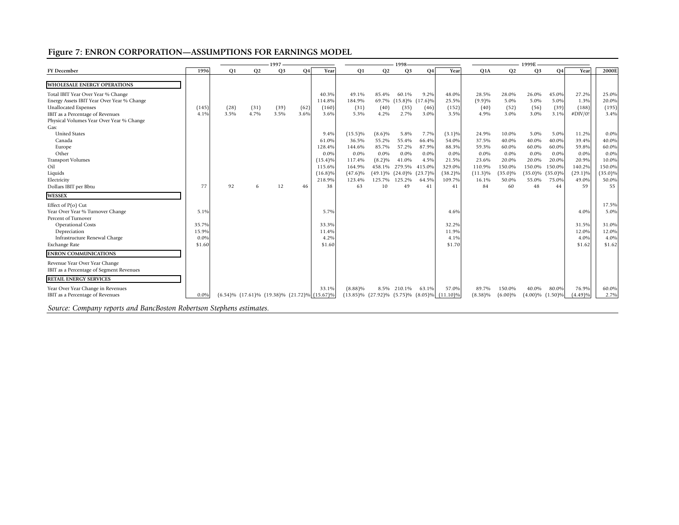# **Figure 7: ENRON CORPORATION—ASSUMPTIONS FOR EARNINGS MODEL**

|                                                                                                                                                                                                                                       | 1997                                     |                |                                                            |                |              |                                                                                       |                                                                                            | 1998-                                                     |                                                                                                             |                                                                               |                                                                                      |                                                                                    | 1999E                                                                              |                                                                                              |                                                                  |                                                                                 |                                                                                      |
|---------------------------------------------------------------------------------------------------------------------------------------------------------------------------------------------------------------------------------------|------------------------------------------|----------------|------------------------------------------------------------|----------------|--------------|---------------------------------------------------------------------------------------|--------------------------------------------------------------------------------------------|-----------------------------------------------------------|-------------------------------------------------------------------------------------------------------------|-------------------------------------------------------------------------------|--------------------------------------------------------------------------------------|------------------------------------------------------------------------------------|------------------------------------------------------------------------------------|----------------------------------------------------------------------------------------------|------------------------------------------------------------------|---------------------------------------------------------------------------------|--------------------------------------------------------------------------------------|
| <b>FY December</b>                                                                                                                                                                                                                    | 1996                                     | O <sub>1</sub> | Q <sub>2</sub>                                             | Q <sub>3</sub> | Q4           | Year                                                                                  | <b>O1</b>                                                                                  | Q2                                                        | Q <sub>3</sub>                                                                                              | <b>O4</b>                                                                     | Year                                                                                 | Q1A                                                                                | Q2                                                                                 | Q <sub>3</sub>                                                                               | <b>O4</b>                                                        | Year                                                                            | 2000E                                                                                |
| <b>WHOLESALE ENERGY OPERATIONS</b><br>Total IBIT Year Over Year % Change<br>Energy Assets IBIT Year Over Year % Change<br><b>Unallocated Expenses</b><br>IBIT as a Percentage of Revenues<br>Physical Volumes Year Over Year % Change | (145)<br>4.1%                            | (28)<br>3.5%   | (31)<br>4.7%                                               | (39)<br>3.5%   | (62)<br>3.6% | 40.3%<br>114.8%<br>(160)<br>3.6%                                                      | 49.1%<br>184.9%<br>(31)<br>5.3%                                                            | 85.4%<br>(40)<br>4.2%                                     | 60.1%<br>69.7% (15.8)% (17.6)%<br>(35)<br>2.7%                                                              | 9.2%<br>(46)<br>3.0%                                                          | 48.0%<br>25.5%<br>(152)<br>3.5%                                                      | 28.5%<br>(9.9)%<br>(40)<br>4.9%                                                    | 28.0%<br>5.0%<br>(52)<br>3.0%                                                      | 26.0%<br>5.0%<br>(56)<br>3.0%                                                                | 45.0%<br>5.0%<br>(39)<br>3.1%                                    | 27.2%<br>1.3%<br>(188)<br>#DIV/0!                                               | 25.0%<br>20.0%<br>(195)<br>3.4%                                                      |
| Gas:<br><b>United States</b><br>Canada<br>Europe<br>Other<br><b>Transport Volumes</b><br>Oil<br>Liquids<br>Electricity<br>Dollars IBIT per Bbtu<br><b>WESSEX</b>                                                                      | 77                                       | 92             | 6                                                          | 12             | 46           | 9.4%<br>61.0%<br>128.4%<br>0.0%<br>$(15.4)\%$<br>115.6%<br>$(16.8)\%$<br>218.9%<br>38 | $(15.5)\%$<br>36.5%<br>144.6%<br>$0.0\%$<br>117.4%<br>164.9%<br>$(47.6)\%$<br>123.4%<br>63 | $(8.6)\%$<br>55.2%<br>85.7%<br>$0.0\%$<br>$(8.2)\%$<br>10 | 5.8%<br>55.4%<br>57.2%<br>$0.0\%$<br>41.0%<br>458.1% 279.5%<br>$(49.1)\%$ $(24.0)\%$<br>125.7% 125.2%<br>49 | 7.7%<br>66.4%<br>87.9%<br>0.0%<br>4.5%<br>415.0%<br>$(23.7)\%$<br>64.5%<br>41 | $(3.1)\%$<br>54.0%<br>88.3%<br>0.0%<br>21.5%<br>329.0%<br>$(38.2)\%$<br>109.7%<br>41 | 24.9%<br>37.5%<br>59.3%<br>$0.0\%$<br>23.6%<br>110.9%<br>$(11.3)\%$<br>16.1%<br>84 | 10.0%<br>40.0%<br>60.0%<br>$0.0\%$<br>20.0%<br>150.0%<br>$(35.0)\%$<br>50.0%<br>60 | 5.0%<br>40.0%<br>60.0%<br>$0.0\%$<br>20.0%<br>150.0%<br>$(35.0)\%$ $(35.0)\%$<br>55.0%<br>48 | 5.0%<br>40.0%<br>60.0%<br>0.0%<br>20.0%<br>150.0%<br>75.0%<br>44 | 11.2%<br>39.4%<br>59.8%<br>0.0%<br>20.9%<br>140.2%<br>$(29.1)\%$<br>49.0%<br>59 | $0.0\%$<br>40.0%<br>60.0%<br>$0.0\%$<br>10.0%<br>150.0%<br>$(35.0)\%$<br>50.0%<br>55 |
| Effect of $P(o)$ Cut<br>Year Over Year % Turnover Change<br>Percent of Turnover<br><b>Operational Costs</b><br>Depreciation<br>Infrastructure Renewal Charge<br>Exchange Rate                                                         | 5.1%<br>35.7%<br>15.9%<br>0.0%<br>\$1.60 |                |                                                            |                |              | 5.7%<br>33.3%<br>11.4%<br>4.2%<br>\$1.60                                              |                                                                                            |                                                           |                                                                                                             |                                                                               | 4.6%<br>32.2%<br>11.9%<br>4.1%<br>\$1.70                                             |                                                                                    |                                                                                    |                                                                                              |                                                                  | 4.0%<br>31.5%<br>12.0%<br>4.0%<br>\$1.62                                        | 17.5%<br>5.0%<br>31.0%<br>12.0%<br>4.0%<br>\$1.62                                    |
| <b>ENRON COMMUNICATIONS</b><br>Revenue Year Over Year Change<br>IBIT as a Percentage of Segment Revenues<br><b>RETAIL ENERGY SERVICES</b><br>Year Over Year Change in Revenues<br>IBIT as a Percentage of Revenues                    | 0.0%                                     |                | $(6.54)\%$ $(17.61)\%$ $(19.38)\%$ $(21.72)\%$ $(15.67)\%$ |                |              | 33.1%                                                                                 | (8.88)%<br>$(13.85)\%$ $(27.92)\%$ $(5.75)\%$                                              |                                                           | 8.5% 210.1%                                                                                                 | 63.1%                                                                         | 57.0%<br>$(8.05)\%$ $(11.10)\%$                                                      | 89.7%<br>$(8.38)\%$                                                                | 150.0%<br>$(6.00)\%$                                                               | 40.0%<br>$(4.00)\%$ $(1.50)\%$                                                               | 80.0%                                                            | 76.9%<br>(4.49)%                                                                | 60.0%<br>2.7%                                                                        |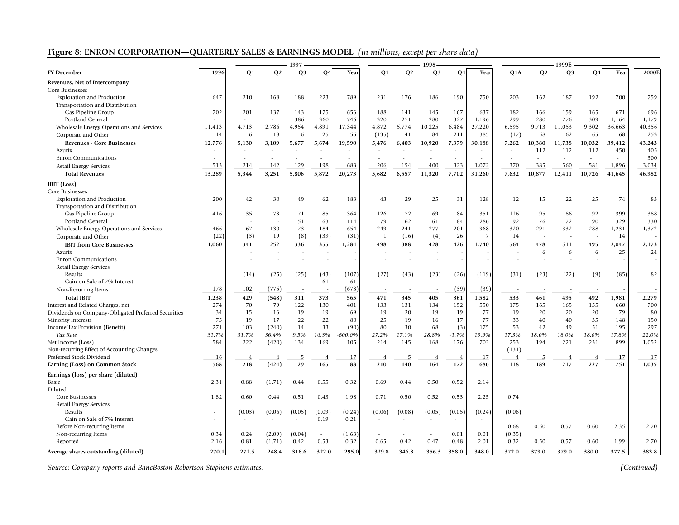# **Figure 8: ENRON CORPORATION—QUARTERLY SALES & EARNINGS MODEL** *(in millions, except per share data)*

|                                                                      | 1997      |                                    |                | 1998           |                          |                    |                |             |                | 1999E          |              |                |                |                |                |              |              |
|----------------------------------------------------------------------|-----------|------------------------------------|----------------|----------------|--------------------------|--------------------|----------------|-------------|----------------|----------------|--------------|----------------|----------------|----------------|----------------|--------------|--------------|
| <b>FY</b> December                                                   | 1996      | O <sub>1</sub>                     | Q2             | Q <sub>3</sub> | Q <sub>4</sub>           | Year               | O <sub>1</sub> | Q2          | Q <sub>3</sub> | <b>O4</b>      | Year         | Q1A            | Q <sub>2</sub> | Q <sub>3</sub> | <b>Q4</b>      | Year         | 2000E        |
| Revenues, Net of Intercompany                                        |           |                                    |                |                |                          |                    |                |             |                |                |              |                |                |                |                |              |              |
| Core Businesses                                                      |           |                                    |                |                |                          |                    |                |             |                |                |              |                |                |                |                |              |              |
| <b>Exploration and Production</b>                                    | 647       | 210                                | 168            | 188            | 223                      | 789                | 231            | 176         | 186            | 190            | 750          | 203            | 162            | 187            | 192            | 700          | 759          |
| Transportation and Distribution                                      |           |                                    |                |                |                          |                    |                |             |                |                |              |                |                |                |                |              |              |
| Gas Pipeline Group                                                   | 702       | 201                                | 137            | 143            | 175                      | 656                | 188            | 141         | 145            | 167            | 637          | 182            | 166            | 159            | 165            | 671          | 696          |
| Portland General                                                     |           | $\sim$                             | ÷              | 386            | 360                      | 746                | 320            | 271         | 280            | 327            | 1,196        | 299            | 280            | 276            | 309            | 1,164        | 1,179        |
| Wholesale Energy Operations and Services                             | 11,413    | 4,713                              | 2,786          | 4,954          | 4,891                    | 17,344             | 4,872          | 5,774       | 10,225         | 6,484          | 27,220       | 6,595          | 9,713          | 11,053         | 9,302          | 36,663       | 40,356       |
| Corporate and Other                                                  | 14        | 6                                  | 18             | 6              | 25                       | 55                 | (135)          | 41          | 84             | 211            | 385          | (17)           | 58             | 62             | 65             | 168          | 253          |
| Revenues - Core Businesses                                           | 12,776    | 5,130                              | 3,109          | 5,677          | 5,674                    | 19,590             | 5,476          | 6,403       | 10,920         | 7,379          | 30,188       | 7,262          | 10,380         | 11,738         | 10,032         | 39,412       | 43,243       |
| Azurix                                                               |           |                                    |                |                |                          |                    |                |             |                |                |              |                | 112            | 112            | 112            | 450          | 405          |
| <b>Enron Communications</b>                                          |           | $\overline{\phantom{a}}$           |                |                |                          |                    |                |             |                |                |              |                | ä,             | $\overline{a}$ |                |              | 300          |
| Retail Energy Services                                               | 513       | 214                                | 142            | 129            | 198                      | 683                | 206            | 154         | 400            | 323            | 1,072        | 370            | 385            | 560            | 581            | 1,896        | 3,034        |
| <b>Total Revenues</b>                                                | 13,289    | 5,344                              | 3,251          | 5,806          | 5,872                    | 20,273             | 5,682          | 6,557       | 11,320         | 7,702          | 31,260       | 7.632          | 10,877         | 12,411         | 10,726         | 41,645       | 46,982       |
|                                                                      |           |                                    |                |                |                          |                    |                |             |                |                |              |                |                |                |                |              |              |
| IBIT (Loss)                                                          |           |                                    |                |                |                          |                    |                |             |                |                |              |                |                |                |                |              |              |
| Core Businesses                                                      |           |                                    |                |                |                          |                    |                |             |                |                |              |                |                |                |                |              |              |
| <b>Exploration and Production</b>                                    | 200       | 42                                 | 30             | 49             | 62                       | 183                | 43             | 29          | 25             | 31             | 128          | 12             | 15             | 22             | 25             | 74           | 83           |
| Transportation and Distribution                                      |           |                                    | 73             | 71             |                          |                    |                | 72          | 69             |                | 351          |                | 95             | 86             | 92             | 399          | 388          |
| Gas Pipeline Group<br>Portland General                               | 416       | 135<br>÷.                          | ۰.             | 51             | 85<br>63                 | 364<br>114         | 126<br>79      | 62          | 61             | 84<br>84       | 286          | 126<br>92      | 76             | 72             | 90             | 329          | 330          |
|                                                                      | 466       | 167                                | 130            | 173            | 184                      | 654                | 249            | 241         | 277            | 201            | 968          | 320            | 291            | 332            | 288            | 1,231        | 1,372        |
| Wholesale Energy Operations and Services                             | (22)      | (3)                                | 19             | (8)            | (39)                     | (31)               |                | (16)        | (4)            | 26             | -7           | 14             |                |                |                | 14           |              |
| Corporate and Other                                                  |           |                                    |                |                |                          |                    |                |             |                |                |              |                |                |                |                |              |              |
| <b>IBIT from Core Businesses</b>                                     | 1.060     | 341                                | 252            | 336            | 355                      | 1,284              | 498            | 388         | 428            | 426            | 1,740        | 564            | 478            | 511            | 495            | 2,047        | 2,173        |
| Azurix                                                               |           |                                    |                |                |                          |                    |                |             |                |                |              |                | 6              | 6              | 6              | 25           | 24           |
| <b>Enron Communications</b>                                          |           |                                    |                |                | $\overline{\phantom{a}}$ |                    |                |             |                |                |              |                |                |                |                |              |              |
| Retail Energy Services                                               |           |                                    |                |                | (43)                     | (107)              |                |             |                |                |              |                |                |                | (9)            |              | 82           |
| Results<br>Gain on Sale of 7% Interest                               |           | (14)                               | (25)<br>٠.     | (25)           | 61                       | 61                 | (27)           | (43)<br>٠.  | (23)           | (26)           | (119)        | (31)           | (23)<br>٠.     | (22)           |                | (85)         |              |
|                                                                      | 178       | 102                                | (775)          |                |                          | (673)              |                |             |                |                | (39)         |                |                |                |                |              |              |
| Non-Recurring Items                                                  |           |                                    |                |                |                          |                    |                |             |                | (39)           |              |                |                |                |                |              |              |
| <b>Total IBIT</b>                                                    | 1,238     | 429                                | (548)          | 311            | 373                      | 565                | 471            | 345         | 405            | 361            | 1,582        | 533            | 461            | 495            | 492            | 1,981        | 2,279        |
| Interest and Related Charges, net                                    | 274       | 70<br>15                           | 79             | 122<br>19      | 130                      | 401<br>69          | 133<br>19      | 131         | 134<br>19      | 152            | 550          | 175<br>19      | 165            | 165            | 155            | 660<br>79    | 700          |
| Dividends on Company-Obligated Preferred Securities                  | 34        |                                    | 16             |                | 19                       |                    |                | 20          |                | 19             | 77           |                | 20             | 20             | 20             |              | 80           |
| <b>Minority Interests</b>                                            | 75<br>271 | 19                                 | 17             | 22             | 22                       | 80                 | 25<br>80       | 19          | 16             | 17             | 77           | 33             | 40             | 40             | 35             | 148          | 150          |
| Income Tax Provision (Benefit)<br>Tax Rate                           | 31.7%     | 103<br>31.7%                       | (240)<br>36.4% | 14<br>9.5%     | 33<br>16.3%              | (90)<br>$-600.0\%$ | 27.2%          | 30<br>17.1% | 68<br>28.8%    | (3)<br>$-1.7%$ | 175<br>19.9% | 53<br>17.3%    | 42<br>18.0%    | 49<br>18.0%    | 51<br>18.0%    | 195<br>17.8% | 297<br>22.0% |
| Net Income (Loss)                                                    | 584       | 222                                |                | 134            | 169                      | 105                | 214            | 145         | 168            | 176            | 703          | 253            | 194            | 221            | 231            | 899          | 1,052        |
| Non-recurring Effect of Accounting Changes                           |           |                                    | (420)          |                |                          |                    |                |             |                |                |              | (131)          |                |                |                |              |              |
| Preferred Stock Dividend                                             | 16        | $\overline{4}$                     |                |                | 4                        | 17                 |                | 5           | $\overline{4}$ | $\overline{4}$ | 17           | $\overline{4}$ | 5              | -4             | $\overline{4}$ | 17           | 17           |
| Earning (Loss) on Common Stock                                       | 568       | 218                                | (424)          | 129            | 165                      | 88                 | 210            | 140         | 164            | 172            | 686          | 118            | 189            | 217            | 227            | 751          | 1,035        |
|                                                                      |           |                                    |                |                |                          |                    |                |             |                |                |              |                |                |                |                |              |              |
| Earnings (loss) per share (diluted)                                  |           |                                    |                |                |                          |                    |                |             |                |                |              |                |                |                |                |              |              |
| Basic                                                                | 2.31      | 0.88                               | (1.71)         | 0.44           | 0.55                     | 0.32               | 0.69           | 0.44        | 0.50           | 0.52           | 2.14         |                |                |                |                |              |              |
| Diluted                                                              |           |                                    |                |                |                          |                    |                |             |                |                |              |                |                |                |                |              |              |
| Core Businesses                                                      | 1.82      | 0.60                               | 0.44           | 0.51           | 0.43                     | 1.98               | 0.71           | 0.50        | 0.52           | 0.53           | 2.25         | 0.74           |                |                |                |              |              |
| <b>Retail Energy Services</b><br>Results                             |           |                                    |                | (0.05)         | (0.09)                   | (0.24)             | (0.06)         |             | (0.05)         |                |              |                |                |                |                |              |              |
| Gain on Sale of 7% Interest                                          |           | (0.03)<br>$\overline{\phantom{a}}$ | (0.06)         |                | 0.19                     | 0.21               |                | (0.08)      |                | (0.05)         | (0.24)       | (0.06)         |                |                |                |              |              |
| Before Non-recurring Items                                           |           |                                    |                |                |                          |                    |                |             |                |                |              |                | 0.50           | 0.57           | 0.60           | 2.35         | 2.70         |
| Non-recurring Items                                                  | 0.34      | 0.24                               | (2.09)         | (0.04)         |                          | (1.63)             |                |             |                | 0.01           | 0.01         | 0.68<br>(0.35) |                |                |                |              |              |
| Reported                                                             | 2.16      | 0.81                               | (1.71)         | 0.42           | 0.53                     | 0.32               | 0.65           | 0.42        | 0.47           | 0.48           | 2.01         | 0.32           | 0.50           | 0.57           | 0.60           | 1.99         | 2.70         |
|                                                                      |           |                                    |                |                |                          |                    |                |             |                |                |              |                |                |                |                |              |              |
| Average shares outstanding (diluted)                                 | 270.1     | 272.5                              | 248.4          | 316.6          | 322.0                    | 295.0              | 329.8          | 346.3       | 356.3          | 358.0          | 348.0        | 372.0          | 379.0          | 379.0          | 380.0          | 377.5        | 383.8        |
| Source: Company reports and BancBoston Robertson Stephens estimates. |           |                                    |                |                |                          |                    |                |             |                |                |              |                |                |                |                |              | (Continued)  |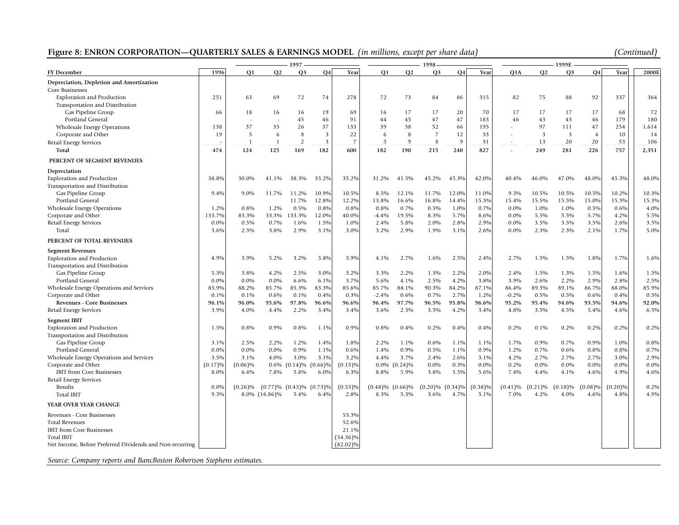# Figure 8: ENRON CORPORATION—QUARTERLY SALES & EARNINGS MODEL *(in millions, except per share data)*

| (Continued) |  |
|-------------|--|
|             |  |

|                                                          | 1997    |                |                |                       | 1998           |                |            |            |                |            | 1999E      |            |                |                         |                |            |                   |
|----------------------------------------------------------|---------|----------------|----------------|-----------------------|----------------|----------------|------------|------------|----------------|------------|------------|------------|----------------|-------------------------|----------------|------------|-------------------|
| <b>FY</b> December                                       | 1996    | O <sub>1</sub> | Q2             | Q <sub>3</sub>        | <b>Q4</b>      | Year           | <b>O1</b>  | Q2         | Q <sub>3</sub> | Q4         | Year       | Q1A        | Q <sub>2</sub> | Q <sub>3</sub>          | Q4             | Year       | 2000 <sub>F</sub> |
| Depreciation, Depletion and Amortization                 |         |                |                |                       |                |                |            |            |                |            |            |            |                |                         |                |            |                   |
| Core Businesses                                          |         |                |                |                       |                |                |            |            |                |            |            |            |                |                         |                |            |                   |
| <b>Exploration and Production</b>                        | 251     | 63             | 69             | 72                    | 74             | 278            | 72         | 73         | 84             | 86         | 315        | 82         | 75             | 88                      | 92             | 337        | 364               |
| Transportation and Distribution                          |         |                |                |                       |                |                |            |            |                |            |            |            |                |                         |                |            |                   |
| Gas Pipeline Group                                       | 66      | 18             | 16             | 16                    | 19             | 69             | 16         | 17         | 17             | 20         | 70         | 17         | 17             | 17                      | 17             | 68         | 72                |
| Portland General                                         |         |                |                | 45                    | 46             | 91             | 44         | 45         | 47             | 47         | 183        | 46         | 43             | 43                      | 46             | 179        | 180               |
| Wholesale Energy Operations                              | 138     | 37             | 33             | 26                    | 37             | 133            | 39         | 38         | 52             | 66         | 195        |            | 97             | 111                     | 47             | 254        | 1,614             |
| Corporate and Other                                      | 19      | .5             | 6              | 8                     | $\overline{3}$ | 22             | 6          | 8          | $\overline{7}$ | 12         | 33         |            | 3              | $\overline{\mathbf{3}}$ | $\overline{4}$ | 10         | 14                |
| <b>Retail Energy Services</b>                            |         | $\mathbf{1}$   | $\overline{1}$ | $\overline{2}$        | 3              | $\overline{7}$ | 5          | 9          | 8              | 9          | 31         |            | 13             | 20                      | 20             | 53         | 106               |
| Total                                                    | 474     | 124            | 125            | 169                   | 182            | 600            | 182        | 190        | 215            | 240        | 827        |            | 249            | 281                     | 226            | 757        | 2,351             |
| PERCENT OF SEGMENT REVENUES                              |         |                |                |                       |                |                |            |            |                |            |            |            |                |                         |                |            |                   |
| Depreciation                                             |         |                |                |                       |                |                |            |            |                |            |            |            |                |                         |                |            |                   |
| <b>Exploration and Production</b>                        | 38.8%   | 30.0%          | 41.1%          | 38.3%                 | 33.2%          | 35.2%          | 31.2%      | 41.5%      | 45.2%          | 45.3%      | 42.0%      | 40.4%      | 46.0%          | 47.0%                   | 48.0%          | 45.3%      | 48.0%             |
| Transportation and Distribution                          |         |                |                |                       |                |                |            |            |                |            |            |            |                |                         |                |            |                   |
| Gas Pipeline Group                                       | 9.4%    | 9.0%           | 11.7%          | 11.2%                 | 10.9%          | 10.5%          | 8.5%       | 12.1%      | 11.7%          | 12.0%      | 11.0%      | 9.3%       | 10.5%          | 10.5%                   | 10.5%          | 10.2%      | 10.3%             |
| Portland General                                         |         |                |                | 11.7%                 | 12.8%          | 12.2%          | 13.8%      | 16.6%      | 16.8%          | 14.4%      | 15.3%      | 15.4%      | 15.5%          | 15.5%                   | 15.0%          | 15.3%      | 15.3%             |
| <b>Wholesale Energy Operations</b>                       | 1.2%    | 0.8%           | 1.2%           | 0.5%                  | 0.8%           | 0.8%           | 0.8%       | 0.7%       | 0.5%           | 1.0%       | 0.7%       | $0.0\%$    | 1.0%           | 1.0%                    | 0.5%           | 0.6%       | 4.0%              |
| Corporate and Other                                      | 135.7%  | 83.3%          | 33.3%          | 133.3%                | 12.0%          | 40.0%          | $-4.4%$    | 19.5%      | 8.3%           | 5.7%       | 8.6%       | $0.0\%$    | 5.5%           | 5.5%                    | 5.7%           | 4.2%       | 5.5%              |
| Retail Energy Services                                   | $0.0\%$ | 0.5%           | 0.7%           | 1.6%                  | 1.5%           | 1.0%           | 2.4%       | 5.8%       | 2.0%           | 2.8%       | 2.9%       | $0.0\%$    | 3.5%           | 3.5%                    | 3.5%           | 2.6%       | 3.5%              |
| Total                                                    | 3.6%    | 2.3%           | 3.8%           | 2.9%                  | 3.1%           | 3.0%           | 3.2%       | 2.9%       | 1.9%           | 3.1%       | 2.6%       | 0.0%       | 2.3%           | 2.3%                    | 2.1%           | 1.7%       | 5.0%              |
| PERCENT OF TOTAL REVENUES                                |         |                |                |                       |                |                |            |            |                |            |            |            |                |                         |                |            |                   |
| <b>Segment Revenues</b>                                  |         |                |                |                       |                |                |            |            |                |            |            |            |                |                         |                |            |                   |
| <b>Exploration and Production</b>                        | 4.9%    | 3.9%           | 5.2%           | 3.2%                  | 3.8%           | 3.9%           | 4.1%       | 2.7%       | 1.6%           | 2.5%       | 2.4%       | 2.7%       | 1.5%           | 1.5%                    | 1.8%           | 1.7%       | 1.6%              |
| Transportation and Distribution                          |         |                |                |                       |                |                |            |            |                |            |            |            |                |                         |                |            |                   |
| Gas Pipeline Group                                       | 5.3%    | 3.8%           | 4.2%           | 2.5%                  | 3.0%           | 3.2%           | 3.3%       | 2.2%       | 1.3%           | 2.2%       | 2.0%       | 2.4%       | 1.5%           | 1.3%                    | 1.5%           | 1.6%       | 1.5%              |
| Portland General                                         | 0.0%    | 0.0%           | $0.0\%$        | 6.6%                  | 6.1%           | 3.7%           | 5.6%       | 4.1%       | 2.5%           | 4.2%       | 3.8%       | 3.9%       | 2.6%           | 2.2%                    | 2.9%           | 2.8%       | 2.5%              |
| Wholesale Energy Operations and Services                 | 85.9%   | 88.2%          | 85.7%          | 85.3%                 | 83.3%          | 85.6%          | 85.7%      | 88.1%      | 90.3%          | 84.2%      | 87.1%      | 86.4%      | 89.3%          | 89.1%                   | 86.7%          | 88.0%      | 85.9%             |
| Corporate and Other                                      | 0.1%    | 0.1%           | 0.6%           | 0.1%                  | 0.4%           | 0.3%           | $-2.4%$    | 0.6%       | 0.7%           | 2.7%       | 1.2%       | $-0.2%$    | 0.5%           | 0.5%                    | 0.6%           | 0.4%       | 0.5%              |
| <b>Revenues - Core Businesses</b>                        | 96.1%   | 96.0%          | 95.6%          | 97.8%                 | 96.6%          | 96.6%          | 96.4%      | 97.7%      | 96.5%          | 95.8%      | 96.6%      | 95.2%      | 95.4%          | 94.6%                   | 93.5%          | 94.6%      | 92.0%             |
| Retail Energy Services                                   | 3.9%    | 4.0%           | 4.4%           | 2.2%                  | 3.4%           | 3.4%           | 3.6%       | 2.3%       | 3.5%           | 4.2%       | 3.4%       | 4.8%       | 3.5%           | 4.5%                    | 5.4%           | 4.6%       | 6.5%              |
| <b>Segment IBIT</b>                                      |         |                |                |                       |                |                |            |            |                |            |            |            |                |                         |                |            |                   |
| <b>Exploration and Production</b>                        | 1.5%    | 0.8%           | 0.9%           | 0.8%                  | 1.1%           | 0.9%           | 0.8%       | 0.4%       | 0.2%           | 0.4%       | 0.4%       | 0.2%       | 0.1%           | 0.2%                    | 0.2%           | 0.2%       | 0.2%              |
| Transportation and Distribution                          |         |                |                |                       |                |                |            |            |                |            |            |            |                |                         |                |            |                   |
| Gas Pipeline Group                                       | 3.1%    | 2.5%           | 2.2%           | 1.2%                  | 1.4%           | 1.8%           | 2.2%       | 1.1%       | 0.6%           | 1.1%       | 1.1%       | 1.7%       | 0.9%           | 0.7%                    | 0.9%           | 1.0%       | 0.8%              |
| Portland General                                         | 0.0%    | 0.0%           | 0.0%           | 0.9%                  | 1.1%           | 0.6%           | 1.4%       | 0.9%       | 0.5%           | 1.1%       | 0.9%       | 1.2%       | 0.7%           | 0.6%                    | 0.8%           | 0.8%       | 0.7%              |
| Wholesale Energy Operations and Services                 | 3.5%    | 3.1%           | 4.0%           | 3.0%                  | 3.1%           | 3.2%           | 4.4%       | 3.7%       | 2.4%           | 2.6%       | 3.1%       | 4.2%       | 2.7%           | 2.7%                    | 2.7%           | 3.0%       | 2.9%              |
| Corporate and Other                                      | (0.17)% | (0.06)%        | $0.6\%$        | $(0.14)\%$            | (0.66)%        | $(0.15)$ %     | $0.0\%$    | $(0.24)\%$ | $0.0\%$        | 0.3%       | 0.0%       | 0.2%       | $0.0\%$        | $0.0\%$                 | 0.0%           | 0.0%       | $0.0\%$           |
| <b>IBIT</b> from Core Businesses                         | 8.0%    | 6.4%           | 7.8%           | 5.8%                  | 6.0%           | 6.3%           | 8.8%       | 5.9%       | 3.8%           | 5.5%       | 5.6%       | 7.4%       | 4.4%           | 4.1%                    | 4.6%           | 4.9%       | 4.6%              |
| Retail Energy Services                                   |         |                |                |                       |                |                |            |            |                |            |            |            |                |                         |                |            |                   |
| Results                                                  | 0.0%    | $(0.26)\%$     |                | $(0.77)\%$ $(0.43)\%$ | $(0.73)\%$     | $(0.53)\%$     | $(0.48)\%$ | $(0.66)\%$ | $(0.20)\%$     | $(0.34)\%$ | $(0.38)\%$ | $(0.41)\%$ | (0.21)%        | $(0.18)\%$              | $(0.08)\%$     | $(0.20)\%$ | 0.2%              |
| <b>Total IBIT</b>                                        | 9.3%    |                | 8.0% (16.86)%  | 5.4%                  | 6.4%           | 2.8%           | 8.3%       | 5.3%       | 3.6%           | 4.7%       | 5.1%       | 7.0%       | 4.2%           | 4.0%                    | 4.6%           | 4.8%       | 4.9%              |
| YEAR OVER YEAR CHANGE                                    |         |                |                |                       |                |                |            |            |                |            |            |            |                |                         |                |            |                   |
| Revenues - Core Businesses                               |         |                |                |                       |                | 53.3%          |            |            |                |            |            |            |                |                         |                |            |                   |
| <b>Total Revenues</b>                                    |         |                |                |                       |                | 52.6%          |            |            |                |            |            |            |                |                         |                |            |                   |
| IBIT from Core Businesses                                |         |                |                |                       |                | 21.1%          |            |            |                |            |            |            |                |                         |                |            |                   |
| <b>Total IBIT</b>                                        |         |                |                |                       |                | $(54.36)\%$    |            |            |                |            |            |            |                |                         |                |            |                   |
| Net Income, Before Preferred Dividends and Non-recurring |         |                |                |                       |                | $(82.02)\%$    |            |            |                |            |            |            |                |                         |                |            |                   |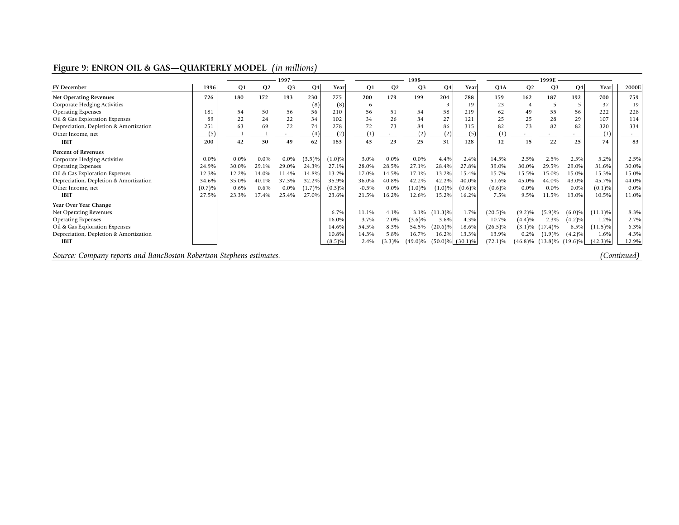# **Figure 9: ENRON OIL & GAS—QUARTERLY MODEL** *(in millions)*

|                                        |         | 1997      |                |                          |           |           |                | 1998-          |            | 1999E          |                       |            |                          |                |                |            |       |
|----------------------------------------|---------|-----------|----------------|--------------------------|-----------|-----------|----------------|----------------|------------|----------------|-----------------------|------------|--------------------------|----------------|----------------|------------|-------|
| <b>FY December</b>                     | 1996    | <b>O1</b> | O <sub>2</sub> | O <sub>3</sub>           | Q4        | Year      | O <sub>1</sub> | Q <sub>2</sub> | <b>O3</b>  | Q <sub>4</sub> | Year                  | Q1A        | Q2                       | Q <sub>3</sub> | Q <sub>4</sub> | Year       | 2000E |
| <b>Net Operating Revenues</b>          | 726     | 180       | 172            | 193                      | 230       | 775       | 200            | 179            | 199        | 204            | 788                   | 159        | 162                      | 187            | 192            | 700        | 759   |
| Corporate Hedging Activities           |         |           |                |                          | (8)       | (8)       | 6              |                |            | q              | 19                    | 23         | $\overline{4}$           |                |                | 37         | 19    |
| <b>Operating Expenses</b>              | 181     | 54        | 50             | 56                       | 56        | 210       | 56             | 51             | 54         | 58             | 219                   | 62         | 49                       | 55             | 56             | 222        | 228   |
| Oil & Gas Exploration Expenses         | 89      | 22        | 24             | 22                       | 34        | 102       | 34             | 26             | 34         | 27             | 121                   | 25         | 25                       | 28             | 29             | 107        | 114   |
| Depreciation, Depletion & Amortization | 251     | 63        | 69             | 72                       | 74        | 278       | 72             | 73             | 84         | 86             | 315                   | 82         | 73                       | 82             | 82             | 320        | 334   |
| Other Income, net                      | (5)     |           |                | $\overline{\phantom{a}}$ | (4)       | (2)       | (1)            |                | (2)        | (2)            | (5)                   | (1)        | $\overline{\phantom{a}}$ |                | ٠.             | (1)        |       |
| <b>IBIT</b>                            | 200     | 42        | 30             | 49                       | 62        | 183       | 43             | 29             | 25         | 31             | 128                   | 12         | 15                       | 22             | 25             | 74         | 83    |
| <b>Percent of Revenues</b>             |         |           |                |                          |           |           |                |                |            |                |                       |            |                          |                |                |            |       |
| Corporate Hedging Activities           | $0.0\%$ | $0.0\%$   | $0.0\%$        | 0.0%                     | $(3.5)\%$ | $(1.0)\%$ | 3.0%           | $0.0\%$        | $0.0\%$    | 4.4%           | 2.4%                  | 14.5%      | 2.5%                     | 2.5%           | 2.5%           | 5.2%       | 2.5%  |
| <b>Operating Expenses</b>              | 24.9%   | 30.0%     | 29.1%          | 29.0%                    | 24.3%     | 27.1%     | 28.0%          | 28.5%          | 27.1%      | 28.4%          | 27.8%                 | 39.0%      | 30.0%                    | 29.5%          | 29.0%          | 31.6%      | 30.0% |
| Oil & Gas Exploration Expenses         | 12.3%   | 12.2%     | 14.0%          | 11.4%                    | 14.8%     | 13.2%     | 17.0%          | 14.5%          | 17.1%      | 13.2%          | 15.4%                 | 15.7%      | 15.5%                    | 15.0%          | 15.0%          | 15.3%      | 15.0% |
| Depreciation, Depletion & Amortization | 34.6%   | 35.0%     | 40.1%          | 37.3%                    | 32.2%     | 35.9%     | 36.0%          | 40.8%          | 42.2%      | 42.2%          | 40.0%                 | 51.6%      | 45.0%                    | 44.0%          | 43.0%          | 45.7%      | 44.0% |
| Other Income, net                      | (0.7)%  | 0.6%      | 0.6%           | 0.0%                     | (1.7)%    | (0.3)%    | $-0.5%$        | 0.0%           | $(1.0)\%$  | $(1.0)\%$      | $(0.6)\%$             | (0.6)%     | 0.0%                     | $0.0\%$        | 0.0%           | $(0.1)\%$  | 0.0%  |
| <b>IBIT</b>                            | 27.5%   | 23.3%     | 17.4%          | 25.4%                    | 27.0%     | 23.6%     | 21.5%          | 16.2%          | 12.6%      | 15.2%          | 16.2%                 | 7.5%       | 9.5%                     | 11.5%          | 13.0%          | 10.5%      | 11.0% |
| Year Over Year Change                  |         |           |                |                          |           |           |                |                |            |                |                       |            |                          |                |                |            |       |
| Net Operating Revenues                 |         |           |                |                          |           | 6.7%      | 11.1%          | 4.1%           | $3.1\%$    | $(11.3)\%$     | 1.7%                  | $(20.5)\%$ | $(9.2)\%$                | (5.9)%         | $(6.0)\%$      | $(11.1)\%$ | 8.3%  |
| <b>Operating Expenses</b>              |         |           |                |                          |           | 16.0%     | 3.7%           | 2.0%           | $(3.6)\%$  | 3.6%           | 4.3%                  | 10.7%      | (4.4)%                   | 2.3%           | $(4.2)\%$      | 1.2%       | 2.7%  |
| Oil & Gas Exploration Expenses         |         |           |                |                          |           | 14.6%     | 54.5%          | 8.3%           | 54.5%      | $(20.6)\%$     | 18.6%                 | $(26.5)\%$ | $(3.1)\%$                | $(17.4)\%$     | 6.5%           | $(11.5)\%$ | 6.3%  |
| Depreciation, Depletion & Amortization |         |           |                |                          |           | 10.8%     | 14.3%          | 5.8%           | 16.7%      | 16.2%          | 13.3%                 | 13.9%      | $0.2\%$                  | (1.9)%         | $(4.2)\%$      | 1.6%       | 4.3%  |
| <b>IBIT</b>                            |         |           |                |                          |           | $(8.5)\%$ | 2.4%           | $(3.3)\%$      | $(49.0)\%$ |                | $(50.0)\%$ $(30.1)\%$ | $(72.1)\%$ | $(46.8)\%$               | $(13.8)\%$     | $(19.6)\%$     | $(42.3)\%$ | 12.9% |
|                                        |         |           |                |                          |           |           |                |                |            |                |                       |            |                          |                |                |            |       |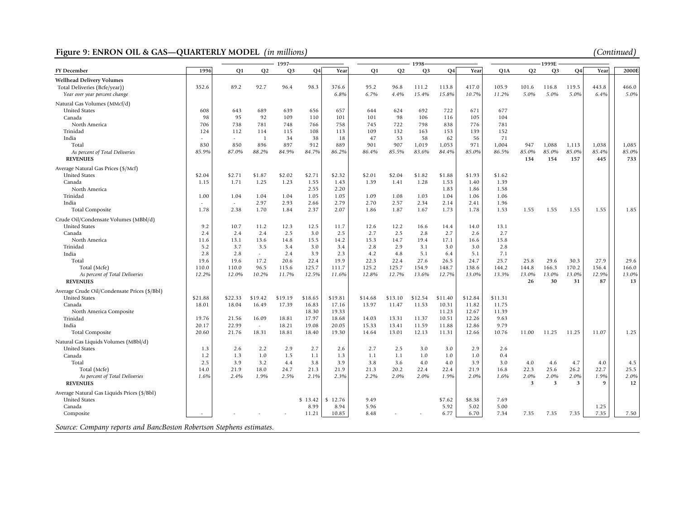# Figure 9: ENRON OIL & GAS-QUARTERLY MODEL *(in millions)*

| (Continued) |  |
|-------------|--|

|                                                                      | 1997    |                |         |                | 1998-     |         |           |         |                | 1999E     |         |         |                |                |       |       |       |
|----------------------------------------------------------------------|---------|----------------|---------|----------------|-----------|---------|-----------|---------|----------------|-----------|---------|---------|----------------|----------------|-------|-------|-------|
| <b>FY</b> December                                                   | 1996    | O <sub>1</sub> | Q2      | O <sub>3</sub> | <b>O4</b> | Year    | <b>O1</b> | Q2      | Q <sub>3</sub> | <b>Q4</b> | Year    | Q1A     | O <sub>2</sub> | Q <sub>3</sub> | Q4    | Year  | 2000E |
| <b>Wellhead Delivery Volumes</b>                                     |         |                |         |                |           |         |           |         |                |           |         |         |                |                |       |       |       |
| Total Deliveries (Bcfe/year))                                        | 352.6   | 89.2           | 92.7    | 96.4           | 98.3      | 376.6   | 95.2      | 96.8    | 111.2          | 113.8     | 417.0   | 105.9   | 101.6          | 116.8          | 119.5 | 443.8 | 466.0 |
| Year over year percent change                                        |         |                |         |                |           | 6.8%    | 6.7%      | 4.4%    | 15.4%          | 15.8%     | 10.7%   | 11.2%   | 5.0%           | 5.0%           | 5.0%  | 6.4%  | 5.0%  |
| Natural Gas Volumes (MMcf/d)                                         |         |                |         |                |           |         |           |         |                |           |         |         |                |                |       |       |       |
| <b>United States</b>                                                 | 608     | 643            | 689     | 639            | 656       | 657     | 644       | 624     | 692            | 722       | 671     | 677     |                |                |       |       |       |
| Canada                                                               | 98      | 95             | 92      | 109            | 110       | 101     | 101       | 98      | 106            | 116       | 105     | 104     |                |                |       |       |       |
| North America                                                        | 706     | 738            | 781     | 748            | 766       | 758     | 745       | 722     | 798            | 838       | 776     | 781     |                |                |       |       |       |
| Trinidad                                                             | 124     | 112            | 114     | 115            | 108       | 113     | 109       | 132     | 163            | 153       | 139     | 152     |                |                |       |       |       |
| India                                                                |         | $\overline{a}$ | -1      | 34             | 38        | 18      | 47        | 53      | 58             | 62        | 56      | 71      |                |                |       |       |       |
| Total                                                                | 830     | 850            | 896     | 897            | 912       | 889     | 901       | 907     | 1,019          | 1,053     | 971     | 1,004   | 947            | 1,088          | 1,113 | 1,038 | 1,085 |
| As percent of Total Deliveries                                       | 85.9%   | 87.0%          | 88.2%   | 84.9%          | 84.7%     | 86.2%   | 86.4%     | 85.5%   | 83.6%          | 84.4%     | 85.0%   | 86.5%   | 85.0%          | 85.0%          | 85.0% | 85.4% | 85.0% |
| <b>REVENUES</b>                                                      |         |                |         |                |           |         |           |         |                |           |         |         | 134            | 154            | 157   | 445   | 733   |
| Average Natural Gas Prices (\$/Mcf)                                  |         |                |         |                |           |         |           |         |                |           |         |         |                |                |       |       |       |
| <b>United States</b>                                                 | \$2.04  | \$2.71         | \$1.87  | \$2.02         | \$2.71    | \$2.32  | \$2.01    | \$2.04  | \$1.82         | \$1.88    | \$1.93  | \$1.62  |                |                |       |       |       |
| Canada                                                               | 1.15    | 1.71           | 1.25    | 1.23           | 1.55      | 1.43    | 1.39      | 1.41    | 1.28           | 1.53      | 1.40    | 1.39    |                |                |       |       |       |
| North America                                                        |         |                |         |                | 2.55      | 2.20    |           |         |                | 1.83      | 1.86    | 1.58    |                |                |       |       |       |
| Trinidad                                                             | 1.00    | 1.04           | 1.04    | 1.04           | 1.05      | 1.05    | 1.09      | 1.08    | 1.03           | 1.04      | 1.06    | 1.06    |                |                |       |       |       |
| India                                                                |         | $\sim$         | 2.97    | 2.93           | 2.66      | 2.79    | 2.70      | 2.57    | 2.34           | 2.14      | 2.41    | 1.96    |                |                |       |       |       |
| <b>Total Composite</b>                                               | 1.78    | 2.38           | 1.70    | 1.84           | 2.37      | 2.07    | 1.86      | 1.87    | 1.67           | 1.73      | 1.78    | 1.53    | 1.55           | 1.55           | 1.55  | 1.55  | 1.85  |
| Crude Oil/Condensate Volumes (MBbl/d)                                |         |                |         |                |           |         |           |         |                |           |         |         |                |                |       |       |       |
| <b>United States</b>                                                 | 9.2     | 10.7           | 11.2    | 12.3           | 12.5      | 11.7    | 12.6      | 12.2    | 16.6           | 14.4      | 14.0    | 13.1    |                |                |       |       |       |
| Canada                                                               | 2.4     | 2.4            | 2.4     | 2.5            | 3.0       | 2.5     | 2.7       | 2.5     | 2.8            | 2.7       | 2.6     | 2.7     |                |                |       |       |       |
| North America                                                        | 11.6    | 13.1           | 13.6    | 14.8           | 15.5      | 14.2    | 15.3      | 14.7    | 19.4           | 17.1      | 16.6    | 15.8    |                |                |       |       |       |
| Trinidad                                                             | 5.2     | 3.7            | 3.5     | 3.4            | 3.0       | 3.4     | 2.8       | 2.9     | 3.1            | 3.0       | 3.0     | 2.8     |                |                |       |       |       |
| India                                                                | 2.8     | 2.8            | $\sim$  | 2.4            | 3.9       | 2.3     | 4.2       | 4.8     | 5.1            | 6.4       | 5.1     | 7.1     |                |                |       |       |       |
| Total                                                                | 19.6    | 19.6           | 17.2    | 20.6           | 22.4      | 19.9    | 22.3      | 22.4    | 27.6           | 26.5      | 24.7    | 25.7    | 25.8           | 29.6           | 30.3  | 27.9  | 29.6  |
| Total (Mcfe)                                                         | 110.0   | 110.0          | 96.5    | 115.6          | 125.7     | 111.7   | 125.2     | 125.7   | 154.9          | 148.7     | 138.6   | 144.2   | 144.8          | 166.3          | 170.2 | 156.4 | 166.0 |
| As percent of Total Deliveries                                       | 12.2%   | 12.0%          | 10.2%   | 11.7%          | 12.5%     | 11.6%   | 12.8%     | 12.7%   | 13.6%          | 12.7%     | 13.0%   | 13.3%   | 13.0%          | 13.0%          | 13.0% | 12.9% | 13.0% |
| <b>REVENUES</b>                                                      |         |                |         |                |           |         |           |         |                |           |         |         | 26             | 30             | 31    | 87    | 13    |
| Average Crude Oil/Condensate Prices (\$/Bbl)                         |         |                |         |                |           |         |           |         |                |           |         |         |                |                |       |       |       |
| <b>United States</b>                                                 | \$21.88 | \$22.33        | \$19.42 | \$19.19        | \$18.65   | \$19.81 | \$14.68   | \$13.10 | \$12.54        | \$11.40   | \$12.84 | \$11.31 |                |                |       |       |       |
| Canada                                                               | 18.01   | 18.04          | 16.49   | 17.39          | 16.83     | 17.16   | 13.97     | 11.47   | 11.53          | 10.31     | 11.82   | 11.75   |                |                |       |       |       |
| North America Composite                                              |         |                |         |                | 18.30     | 19.33   |           |         |                | 11.23     | 12.67   | 11.39   |                |                |       |       |       |
| Trinidad                                                             | 19.76   | 21.56          | 16.09   | 18.81          | 17.97     | 18.68   | 14.03     | 13.31   | 11.37          | 10.51     | 12.26   | 9.63    |                |                |       |       |       |
| India                                                                | 20.17   | 22.99          | $\sim$  | 18.21          | 19.08     | 20.05   | 15.33     | 13.41   | 11.59          | 11.88     | 12.86   | 9.79    |                |                |       |       |       |
| <b>Total Composite</b>                                               | 20.60   | 21.76          | 18.31   | 18.81          | 18.40     | 19.30   | 14.64     | 13.01   | 12.13          | 11.31     | 12.66   | 10.76   | 11.00          | 11.25          | 11.25 | 11.07 | 1.25  |
| Natural Gas Liquids Volumes (MBbl/d)                                 |         |                |         |                |           |         |           |         |                |           |         |         |                |                |       |       |       |
| <b>United States</b>                                                 | 1.3     | 2.6            | 2.2     | 2.9            | 2.7       | 2.6     | 2.7       | 2.5     | 3.0            | 3.0       | 2.9     | 2.6     |                |                |       |       |       |
| Canada                                                               | 1.2     | 1.3            | 1.0     | 1.5            | 1.1       | 1.3     | 1.1       | 1.1     | 1.0            | 1.0       | 1.0     | 0.4     |                |                |       |       |       |
| Total                                                                | 2.5     | 3.9            | 3.2     | 4.4            | 3.8       | 3.9     | 3.8       | 3.6     | 4.0            | 4.0       | 3.9     | 3.0     | 4.0            | 4.6            | 4.7   | 4.0   | 4.5   |
| Total (Mcfe)                                                         | 14.0    | 21.9           | 18.0    | 24.7           | 21.3      | 21.9    | 21.3      | 20.2    | 22.4           | 22.4      | 21.9    | 16.8    | 22.3           | 25.6           | 26.2  | 22.7  | 25.5  |
| As percent of Total Deliveries                                       | 1.6%    | 2.4%           | 1.9%    | 2.5%           | 2.1%      | 2.3%    | 2.2%      | 2.0%    | 2.0%           | 1.9%      | 2.0%    | 1.6%    | 2.0%           | 2.0%           | 2.0%  | 1.9%  | 2.0%  |
| <b>REVENUES</b>                                                      |         |                |         |                |           |         |           |         |                |           |         |         | 3              | 3              | 3     | q     | 12    |
| Average Natural Gas Liquids Prices (\$/Bbl)                          |         |                |         |                |           |         |           |         |                |           |         |         |                |                |       |       |       |
| <b>United States</b>                                                 |         |                |         |                | \$13.42   | \$12.76 | 9.49      |         |                | \$7.62    | \$8.38  | 7.69    |                |                |       |       |       |
| Canada                                                               |         |                |         |                | 8.99      | 8.94    | 5.96      |         |                | 5.92      | 5.02    | 5.00    |                |                |       | 1.25  |       |
| Composite                                                            |         |                |         |                | 11.21     | 10.85   | 8.48      |         |                | 6.77      | 6.70    | 7.34    | 7.35           | 7.35           | 7.35  | 7.35  | 7.50  |
| Source: Company reports and BancBoston Robertson Stephens estimates. |         |                |         |                |           |         |           |         |                |           |         |         |                |                |       |       |       |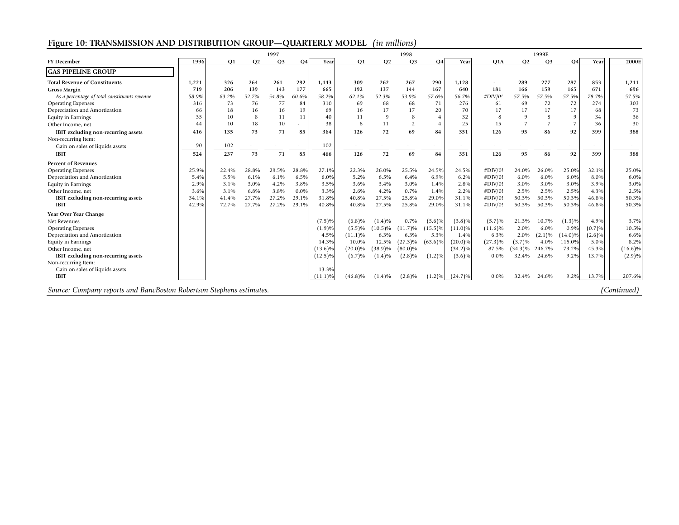# **Figure 10: TRANSMISSION AND DISTRIBUTION GROUP—QUARTERLY MODEL** *(in millions)*

|                                                                      |       | 1997-<br>1998<br>4999E |                          |                |                          |            |            |                |                   |                          |                          |            |                |                |                          |                          |             |
|----------------------------------------------------------------------|-------|------------------------|--------------------------|----------------|--------------------------|------------|------------|----------------|-------------------|--------------------------|--------------------------|------------|----------------|----------------|--------------------------|--------------------------|-------------|
| <b>FY December</b>                                                   | 1996  | <b>O1</b>              | Q <sub>2</sub>           | Q <sub>3</sub> | <b>Q4</b>                | Year       | Q1         | O <sub>2</sub> | Q <sub>3</sub>    | Q <sub>4</sub>           | Year                     | Q1A        | <b>Q2</b>      | Q <sub>3</sub> | Q <sub>4</sub>           | Year                     | 2000E       |
| <b>GAS PIPELINE GROUP</b>                                            |       |                        |                          |                |                          |            |            |                |                   |                          |                          |            |                |                |                          |                          |             |
| <b>Total Revenue of Constituents</b>                                 | 1,221 | 326                    | 264                      | 261            | 292                      | 1,143      | 309        | 262            | 267               | 290                      | 1,128                    | ٠          | 289            | 277            | 287                      | 853                      | 1,211       |
| <b>Gross Margin</b>                                                  | 719   | 206                    | 139                      | 143            | 177                      | 665        | 192        | 137            | 144               | 167                      | 640                      | 181        | 166            | 159            | 165                      | 671                      | 696         |
| As a percentage of total constituents revenue                        | 58.9% | 63.2%                  | 52.7%                    | 54.8%          | 60.6%                    | 58.2%      | 62.1%      | 52.3%          | 53.9%             | 57.6%                    | 56.7%                    | #DIV/0!    | 57.5%          | 57.5%          | 57.5%                    | 78.7%                    | 57.5%       |
| <b>Operating Expenses</b>                                            | 316   | 73                     | 76                       | 77             | 84                       | 310        | 69         | 68             | 68                | 71                       | 276                      | 61         | 69             | 72             | 72                       | 274                      | 303         |
| Depreciation and Amortization                                        | 66    | 18                     | 16                       | 16             | 19                       | 69         | 16         | 17             | 17                | 20                       | 70                       | 17         | 17             | 17             | 17                       | 68                       | 73          |
| <b>Equity in Earnings</b>                                            | 35    | 10                     | 8                        | 11             | 11                       | 40         | 11         | 9              | 8                 |                          | 32                       |            | $\Omega$       | 8              | -9                       | 34                       | 36          |
| Other Income, net                                                    | 44    | 10                     | 18                       | 10             | ٠                        | 38         | 8          | 11             | 2                 |                          | 25                       | 15         | $\overline{7}$ | 7              | 7                        | 36                       | 30          |
| IBIT excluding non-recurring assets<br>Non-recurring Item:           | 416   | 135                    | 73                       | 71             | 85                       | 364        | 126        | 72             | 69                | 84                       | 351                      | 126        | 95             | 86             | 92                       | 399                      | 388         |
| Gain on sales of liquids assets                                      | 90    | 102                    | $\overline{\phantom{a}}$ |                | $\overline{\phantom{a}}$ | 102        |            |                |                   | $\overline{\phantom{a}}$ | $\overline{\phantom{a}}$ |            |                |                | $\overline{\phantom{a}}$ | $\overline{\phantom{a}}$ |             |
| <b>IBIT</b>                                                          | 524   | 237                    | 73                       | 71             | 85                       | 466        | 126        | 72             | 69                | 84                       | 351                      | 126        | 95             | 86             | 92                       | 399                      | 388         |
| <b>Percent of Revenues</b>                                           |       |                        |                          |                |                          |            |            |                |                   |                          |                          |            |                |                |                          |                          |             |
| <b>Operating Expenses</b>                                            | 25.9% | 22.4%                  | 28.8%                    | 29.5%          | 28.8%                    | 27.1%      | 22.3%      | 26.0%          | 25.5%             | 24.5%                    | 24.5%                    | #DIV/0!    | 24.0%          | 26.0%          | 25.0%                    | 32.1%                    | 25.0%       |
| Depreciation and Amortization                                        | 5.4%  | 5.5%                   | 6.1%                     | 6.1%           | 6.5%                     | 6.0%       | 5.2%       | 6.5%           | 6.4%              | 6.9%                     | 6.2%                     | #DIV/0!    | 6.0%           | 6.0%           | 6.0%                     | 8.0%                     | 6.0%        |
| <b>Equity in Earnings</b>                                            | 2.9%  | 3.1%                   | 3.0%                     | 4.2%           | 3.8%                     | 3.5%       | 3.6%       | 3.4%           | 3.0%              | 1.4%                     | 2.8%                     | #DIV/0!    | 3.0%           | 3.0%           | 3.0%                     | 3.9%                     | 3.0%        |
| Other Income, net                                                    | 3.6%  | 3.1%                   | 6.8%                     | 3.8%           | 0.0%                     | 3.3%       | 2.6%       | 4.2%           | 0.7%              | 1.4%                     | 2.2%                     | #DIV/0!    | 2.5%           | 2.5%           | 2.5%                     | 4.3%                     | 2.5%        |
| IBIT excluding non-recurring assets                                  | 34.1% | 41.4%                  | 27.7%                    | 27.2%          | 29.1%                    | 31.8%      | 40.8%      | 27.5%          | 25.8%             | 29.0%                    | 31.1%                    | #DIV/0!    | 50.3%          | 50.3%          | 50.3%                    | 46.8%                    | 50.3%       |
| <b>IBIT</b>                                                          | 42.9% | 72.7%                  | 27.7%                    | 27.2%          | 29.1%                    | 40.8%      | 40.8%      | 27.5%          | 25.8%             | 29.0%                    | 31.1%                    | #DIV/0!    | 50.3%          | 50.3%          | 50.3%                    | 46.8%                    | 50.3%       |
| Year Over Year Change                                                |       |                        |                          |                |                          |            |            |                |                   |                          |                          |            |                |                |                          |                          |             |
| Net Revenues                                                         |       |                        |                          |                |                          | (7.5)%     | $(6.8)\%$  | $(1.4)\%$      | 0.7%              | $(5.6)\%$                | $(3.8)\%$                | (5.7)%     | 21.3%          | 10.7%          | (1.3)%                   | 4.9%                     | 3.7%        |
| <b>Operating Expenses</b>                                            |       |                        |                          |                |                          | (1.9)%     | (5.5)%     | $(10.5)\%$     | $11.7\frac{9}{6}$ | $(15.5)\%$               | $(11.0)\%$               | $(11.6)\%$ | 2.0%           | 6.0%           | 0.9%                     | (0.7)%                   | 10.5%       |
| Depreciation and Amortization                                        |       |                        |                          |                |                          | 4.5%       | (11.1)%    | 6.3%           | 6.3%              | 5.3%                     | 1.4%                     | 6.3%       | 2.0%           | $(2.1)\%$      | $(14.0)\%$               | $(2.6)\%$                | 6.6%        |
| <b>Equity in Earnings</b>                                            |       |                        |                          |                |                          | 14.3%      | 10.0%      | 12.5%          | $(27.3)\%$        | $(63.6)\%$               | $(20.0)\%$               | $(27.3)\%$ | (3.7)%         | 4.0%           | 115.0%                   | 5.0%                     | 8.2%        |
| Other Income, net                                                    |       |                        |                          |                |                          | $(13.6)\%$ | $(20.0)\%$ | $(38.9)\%$     | $(80.0)\%$        |                          | $(34.2)\%$               | 87.5%      | $(34.3)\%$     | 246.7%         | 79.2%                    | 45.3%                    | $(16.6)\%$  |
| IBIT excluding non-recurring assets                                  |       |                        |                          |                |                          | $(12.5)\%$ | (6.7)%     | $(1.4)\%$      | $(2.8)\%$         | (1.2)%                   | $(3.6)\%$                | 0.0%       | 32.4%          | 24.6%          | 9.2%                     | 13.7%                    | (2.9)%      |
| Non-recurring Item:                                                  |       |                        |                          |                |                          |            |            |                |                   |                          |                          |            |                |                |                          |                          |             |
| Gain on sales of liquids assets                                      |       |                        |                          |                |                          | 13.3%      |            |                |                   |                          |                          |            |                |                |                          |                          |             |
| <b>IBIT</b>                                                          |       |                        |                          |                |                          | (11.1)%    | $(46.8)\%$ | $(1.4)\%$      | $(2.8)\%$         | $(1.2)\%$                | $(24.7)\%$               | $0.0\%$    | 32.4%          | 24.6%          | 9.2%                     | 13.7%                    | 207.6%      |
| Source: Company reports and BancBoston Robertson Stephens estimates. |       |                        |                          |                |                          |            |            |                |                   |                          |                          |            |                |                |                          |                          | (Continued) |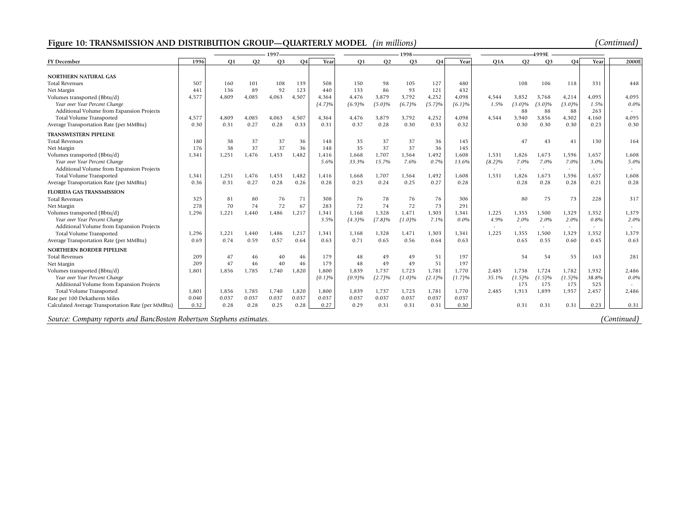# **Figure 10: TRANSMISSION AND DISTRIBUTION GROUP—QUARTERLY MODEL** *(in millions) (Continued)*

|                                                                      |       |                |           | 1997           |           |        |                |                |                |        |              |               |                          |                          |                          |               |                  |
|----------------------------------------------------------------------|-------|----------------|-----------|----------------|-----------|--------|----------------|----------------|----------------|--------|--------------|---------------|--------------------------|--------------------------|--------------------------|---------------|------------------|
| <b>FY December</b>                                                   | 1996  | O <sub>1</sub> | <b>Q2</b> | Q <sub>3</sub> | <b>O4</b> | Year   | O <sub>1</sub> | Q <sub>2</sub> | O <sub>3</sub> | O4     | Year         | Q1A           | Q <sub>2</sub>           | Q <sub>3</sub>           | O <sub>4</sub>           | Year          | 2000E            |
|                                                                      |       |                |           |                |           |        |                |                |                |        |              |               |                          |                          |                          |               |                  |
| NORTHERN NATURAL GAS                                                 |       |                |           |                |           |        |                |                |                |        |              |               |                          |                          |                          |               |                  |
| <b>Total Revenues</b>                                                | 507   | 160            | 101       | 108            | 139       | 508    | 150            | 98             | 105            | 127    | 480          |               | 108                      | 106                      | 118                      | 331           | 448              |
| Net Margin                                                           | 441   | 136            | 89        | 92             | 123       | 440    | 133            | 86             | 93             | 121    | 432<br>4.098 |               |                          |                          |                          |               |                  |
| Volumes transported (Bbtu/d)<br>Year over Year Percent Change        | 4,577 | 4,809          | 4.085     | 4,063          | 4,507     | 4.364  | 4,476          | 3,879          | 3,792          | 4,252  |              | 4.544<br>1.5% | 3.852<br>$(3.0)\%$       | 3.768                    | 4,214                    | 4.095<br>1.5% | 4.095<br>$0.0\%$ |
| Additional Volume from Expansion Projects                            |       |                |           |                |           | (4.7)% | (6.9)%         | $(5.0)\%$      | (6.7)%         | (5.7)% | (6.1)%       |               | 88                       | $(3.0)\%$<br>88          | $(3.0)\%$<br>88          | 263           |                  |
| Total Volume Transported                                             | 4,577 | 4.809          | 4.085     | 4,063          | 4,507     | 4.364  | 4,476          | 3,879          | 3.792          | 4,252  | 4,098        | 4.544         | 3.940                    | 3,856                    | 4,302                    | 4.160         | 4,095            |
| Average Transportation Rate (per MMBtu)                              | 0.30  | 0.31           | 0.27      | 0.28           | 0.33      | 0.31   | 0.37           | 0.28           | 0.30           | 0.33   | 0.32         |               | 0.30                     | 0.30                     | 0.30                     | 0.23          | 0.30             |
|                                                                      |       |                |           |                |           |        |                |                |                |        |              |               |                          |                          |                          |               |                  |
| <b>TRANSWESTERN PIPELINE</b>                                         |       |                |           |                |           |        |                |                |                |        |              |               |                          |                          |                          |               |                  |
| <b>Total Revenues</b>                                                | 180   | 38             | 37        | 37             | 36        | 148    | 35             | 37             | 37             | 36     | 145          |               | 47                       | 43                       | 41                       | 130           | 164              |
| Net Margin                                                           | 176   | 38             | 37        | 37             | 36        | 148    | 35             | 37             | 37             | 36     | 145          |               |                          |                          |                          |               |                  |
| Volumes transported (Bbtu/d)                                         | 1,341 | 1,251          | 1,476     | 1,453          | 1,482     | 1,416  | 1,668          | 1,707          | 1,564          | 1,492  | 1,608        | 1,531         | 1,826                    | 1,673                    | 1,596                    | 1,657         | 1,608            |
| Year over Year Percent Change                                        |       |                |           |                |           | 5.6%   | 33.3%          | 15.7%          | 7.6%           | 0.7%   | 13.6%        | $(8.2)\%$     | 7.0%                     | 7.0%                     | 7.0%                     | 3.0%          | 5.0%             |
| Additional Volume from Expansion Projects                            |       |                |           |                |           |        |                |                |                |        |              |               | $\overline{\phantom{a}}$ | $\overline{\phantom{a}}$ | $\overline{\phantom{a}}$ |               | $\sim$           |
| Total Volume Transported                                             | 1,341 | 1,251          | 1,476     | 1,453          | 1,482     | 1,416  | 1.668          | 1,707          | 1,564          | 1,492  | 1.608        | 1,531         | 1.826                    | 1,673                    | 1,596                    | 1.657         | 1,608            |
| Average Transportation Rate (per MMBtu)                              | 0.36  | 0.31           | 0.27      | 0.28           | 0.26      | 0.28   | 0.23           | 0.24           | 0.25           | 0.27   | 0.28         |               | 0.28                     | 0.28                     | 0.28                     | 0.21          | 0.28             |
| <b>FLORIDA GAS TRANSMISSION</b>                                      |       |                |           |                |           |        |                |                |                |        |              |               |                          |                          |                          |               |                  |
| <b>Total Revenues</b>                                                | 325   | 81             | 80        | 76             | 71        | 308    | 76             | 78             | 76             | 76     | 306          |               | 80                       | 75                       | 73                       | 228           | 317              |
| Net Margin                                                           | 278   | 70             | 74        | 72             | 67        | 283    | 72             | 74             | 72             | 73     | 291          |               |                          |                          |                          |               |                  |
| Volumes transported (Bbtu/d)                                         | 1,296 | 1,221          | 1,440     | 1,486          | 1,217     | 1,341  | 1,168          | 1,328          | 1,471          | 1,303  | 1,341        | 1,225         | 1,355                    | 1,500                    | 1,329                    | 1,352         | 1,379            |
| Year over Year Percent Change                                        |       |                |           |                |           | 3.5%   | $(4.3)\%$      | (7.8)%         | $(1.0)\%$      | 7.1%   | $0.0\%$      | 4.9%          | 2.0%                     | 2.0%                     | 2.0%                     | 0.8%          | 2.0%             |
| Additional Volume from Expansion Projects                            |       |                |           |                |           |        |                |                |                |        |              | $\sim$        | $\overline{\phantom{a}}$ | $\sim$                   | $\overline{\phantom{a}}$ |               | $\sim$           |
| Total Volume Transported                                             | 1,296 | 1,221          | 1.440     | 1.486          | 1,217     | 1.341  | 1.168          | 1,328          | 1.471          | 1,303  | 1.341        | 1.225         | 1.355                    | 1,500                    | 1,329                    | 1.352         | 1.379            |
| Average Transportation Rate (per MMBtu)                              | 0.69  | 0.74           | 0.59      | 0.57           | 0.64      | 0.63   | 0.71           | 0.65           | 0.56           | 0.64   | 0.63         |               | 0.65                     | 0.55                     | 0.60                     | 0.45          | 0.63             |
| NORTHERN BORDER PIPELINE                                             |       |                |           |                |           |        |                |                |                |        |              |               |                          |                          |                          |               |                  |
| <b>Total Revenues</b>                                                | 209   | 47             | 46        | 40             | 46        | 179    | 48             | 49             | 49             | 51     | 197          |               | 54                       | 54                       | 55                       | 163           | 281              |
| Net Margin                                                           | 209   | 47             | 46        | 40             | 46        | 179    | 48             | 49             | 49             | 51     | 197          |               |                          |                          |                          |               |                  |
| Volumes transported (Bbtu/d)                                         | 1,801 | 1,856          | 1,785     | 1,740          | 1,820     | 1,800  | 1,839          | 1,737          | 1,723          | 1,781  | 1,770        | 2,485         | 1,738                    | 1,724                    | 1,782                    | 1,932         | 2,486            |
| Year over Year Percent Change                                        |       |                |           |                |           | (0.1)% | (0.9)%         | (2.7)%         | $(1.0)\%$      | (2.1)% | (1.7)%       | 35.1%         | (1.5)%                   | (1.5)%                   | (1.5)%                   | 38.8%         | $0.0\%$          |
| Additional Volume from Expansion Projects                            |       |                |           |                |           |        |                |                |                |        |              |               | 175                      | 175                      | 175                      | 525           |                  |
| Total Volume Transported                                             | 1,801 | 1,856          | 1,785     | 1,740          | 1,820     | 1,800  | 1,839          | 1,737          | 1,723          | 1,781  | 1,770        | 2,485         | 1,913                    | 1,899                    | 1,957                    | 2,457         | 2,486            |
| Rate per 100 Dekatherm Miles                                         | 0.040 | 0.037          | 0.037     | 0.037          | 0.037     | 0.037  | 0.037          | 0.037          | 0.037          | 0.037  | 0.037        |               |                          |                          |                          |               |                  |
| Calculated Average Transportation Rate (per MMBtu)                   | 0.32  | 0.28           | 0.28      | 0.25           | 0.28      | 0.27   | 0.29           | 0.31           | 0.31           | 0.31   | 0.30         |               | 0.31                     | 0.31                     | 0.31                     | 0.23          | 0.31             |
| Source: Company reports and BancBoston Robertson Stephens estimates. |       |                |           |                |           |        |                |                |                |        |              |               |                          |                          |                          |               | (Continued)      |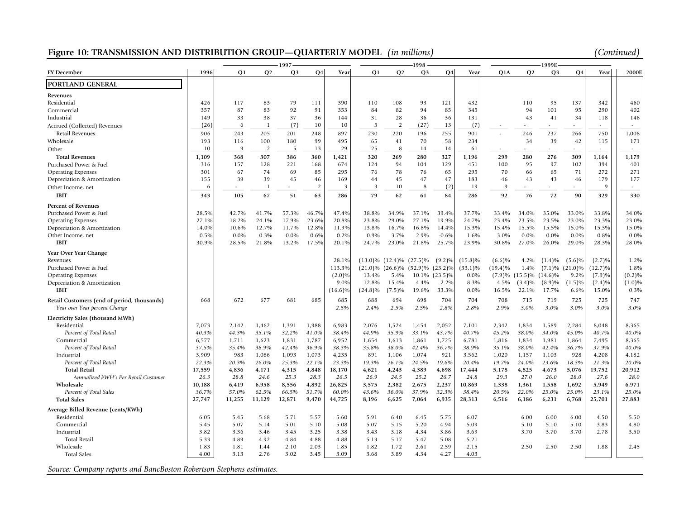# **Figure 10: TRANSMISSION AND DISTRIBUTION GROUP—QUARTERLY MODEL** *(in millions) (Continued)*

|                                                                      |        |                |                | 1997           |                |            |            |                | 1998                             |            |            |            |                                 | 1999E                    |             |            |              |
|----------------------------------------------------------------------|--------|----------------|----------------|----------------|----------------|------------|------------|----------------|----------------------------------|------------|------------|------------|---------------------------------|--------------------------|-------------|------------|--------------|
| <b>FY</b> December                                                   | 1996   | Q <sub>1</sub> | Q2             | Q <sub>3</sub> | <b>Q4</b>      | Year       | <b>O1</b>  | Q <sub>2</sub> | Q <sub>3</sub>                   | Q4         | Year       | Q1A        | Q2                              | Q3                       | Q4          | Year       | 2000E        |
| PORTLAND GENERAL                                                     |        |                |                |                |                |            |            |                |                                  |            |            |            |                                 |                          |             |            |              |
| Revenues                                                             |        |                |                |                |                |            |            |                |                                  |            |            |            |                                 |                          |             |            |              |
| Residential                                                          | 426    | 117            | 83             | 79             | 111            | 390        | 110        | 108            | 93                               | 121        | 432        |            | 110                             | 95                       | 137         | 342        | 460          |
| Commercial                                                           | 357    | 87             | 83             | 92             | 91             | 353        | 84         | 82             | 94                               | 85         | 345        |            | 94                              | 101                      | 95          | 290        | 402          |
| Industrial                                                           | 149    | 33             | 38             | 37             | 36             | 144        | 31         | 28             | 36                               | 36         | 131        |            | 43                              | 41                       | 34          | 118        | 146          |
| Accrued (Collected) Revenues                                         | (26)   | 6              | $\overline{1}$ | (7)            | 10             | 10         | 5          | $\overline{2}$ | (27)                             | 13         | (7)        |            | ×.                              | a.                       |             | ٠          | $\mathbf{r}$ |
| Retail Revenues                                                      | 906    | 243            | 205            | 201            | 248            | 897        | 230        | 220            | 196                              | 255        | 901        |            | 246                             | 237                      | 266         | 750        | 1,008        |
| Wholesale                                                            | 193    | 116            | 100            | 180            | 99             | 495        | 65         | 41             | 70                               | 58         | 234        |            | 34                              | 39                       | 42          | 115        | 171          |
| Other                                                                | 10     | 9              | $\overline{2}$ | 5              | 13             | 29         | 25         | 8              | 14                               | 14         | 61         |            | ×.                              | $\sim$                   | $\sim$      | $\sim$     | $\sim$       |
| <b>Total Revenues</b>                                                | 1,109  | 368            | 307            | 386            | 360            | 1,421      | 320        | 269            | 280                              | 327        | 1,196      | 299        | 280                             | 276                      | 309         | 1,164      | 1,179        |
| Purchased Power & Fuel                                               | 316    | 157            | 128            | 221            | 168            | 674        | 124        | 94             | 104                              | 129        | 451        | 100        | 95                              | 97                       | 102         | 394        | 401          |
| <b>Operating Expenses</b>                                            | 301    | 67             | 74             | 69             | 85             | 295        | 76         | 78             | 76                               | 65         | 295        | 70         | 66                              | 65                       | 71          | 272        | 271          |
| Depreciation & Amortization                                          | 155    | 39             | 39             | 45             | 46             | 169        | 44         | 45             | 47                               | 47         | 183        | 46         | 43                              | 43                       | 46          | 179        | 177          |
|                                                                      | 6      | $\sim$         | $\mathbf{1}$   | $\overline{a}$ | $\overline{2}$ | 3          | 3          | 10             | 8                                | (2)        | 19         | $\Omega$   | $\sim$                          | $\overline{\phantom{a}}$ | $\sim$      | -9         | $\sim$       |
| Other Income, net                                                    |        |                |                |                |                |            |            |                |                                  |            |            |            |                                 |                          |             |            |              |
| <b>IBIT</b>                                                          | 343    | 105            | 67             | 51             | 63             | 286        | 79         | 62             | 61                               | 84         | 286        | 92         | 76                              | 72                       | 90          | 329        | 330          |
| <b>Percent of Revenues</b>                                           |        |                |                |                |                |            |            |                |                                  |            |            |            |                                 |                          |             |            |              |
| Purchased Power & Fuel                                               | 28.5%  | 42.7%          | 41.7%          | 57.3%          | 46.7%          | 47.4%      | 38.8%      | 34.9%          | 37.1%                            | 39.4%      | 37.7%      | 33.4%      | 34.0%                           | 35.0%                    | 33.0%       | 33.8%      | 34.0%        |
| <b>Operating Expenses</b>                                            | 27.1%  | 18.2%          | 24.1%          | 17.9%          | 23.6%          | 20.8%      | 23.8%      | 29.0%          | 27.1%                            | 19.9%      | 24.7%      | 23.4%      | 23.5%                           | 23.5%                    | 23.0%       | 23.3%      | 23.0%        |
| Depreciation & Amortization                                          | 14.0%  | 10.6%          | 12.7%          | 11.7%          | 12.8%          | 11.9%      | 13.8%      | 16.7%          | 16.8%                            | 14.4%      | 15.3%      | 15.4%      | 15.5%                           | 15.5%                    | 15.0%       | 15.3%      | 15.0%        |
| Other Income, net                                                    | 0.5%   | $0.0\%$        | 0.3%           | $0.0\%$        | 0.6%           | 0.2%       | 0.9%       | 3.7%           | 2.9%                             | $-0.6%$    | 1.6%       | 3.0%       | $0.0\%$                         | $0.0\%$                  | $0.0\%$     | 0.8%       | $0.0\%$      |
| <b>IBIT</b>                                                          | 30.9%  | 28.5%          | 21.8%          | 13.2%          | 17.5%          | 20.1%      | 24.7%      | 23.0%          | 21.8%                            | 25.7%      | 23.9%      | 30.8%      | 27.0%                           | 26.0%                    | 29.0%       | 28.3%      | 28.0%        |
| Year Over Year Change                                                |        |                |                |                |                |            |            |                |                                  |            |            |            |                                 |                          |             |            |              |
| Revenues                                                             |        |                |                |                |                | 28.1%      |            |                | $(13.0)\%$ $(12.4)\%$ $(27.5)\%$ | $(9.2)\%$  | $(15.8)\%$ | $(6.6)\%$  | 4.2%                            | $(1.4)\%$                | $(5.6)\%$   | (2.7)%     | 1.2%         |
| Purchased Power & Fuel                                               |        |                |                |                |                | 113.3%     |            |                | $(21.0)\%$ $(26.6)\%$ $(52.9)\%$ | $(23.2)\%$ | $(33.1)\%$ | $(19.4)\%$ | 1.4%                            | $(7.1)\%$                | $(21.0)\%$  | $(12.7)\%$ | 1.8%         |
| <b>Operating Expenses</b>                                            |        |                |                |                |                | $(2.0)\%$  | 13.4%      | 5.4%           | 10.1%                            | $(23.5)\%$ | 0.0%       |            | $(7.9)\%$ $(15.5)\%$ $(14.6)\%$ |                          | 9.2%        | (7.9)%     | (0.2)%       |
| Depreciation & Amortization                                          |        |                |                |                |                | 9.0%       | 12.8%      | 15.4%          | 4.4%                             | 2.2%       | 8.3%       | 4.5%       | $(3.4)\%$                       | $(8.9)\%$                | (1.5)%      | $(2.4)\%$  | $(1.0)\%$    |
| <b>IBIT</b>                                                          |        |                |                |                |                | $(16.6)\%$ | $(24.8)\%$ | (7.5)%         | 19.6%                            | 33.3%      | 0.0%       | 16.5%      | 22.1%                           | 17.7%                    | 6.6%        | 15.0%      | 0.3%         |
|                                                                      |        |                |                |                |                |            |            |                |                                  |            |            |            |                                 |                          |             |            |              |
| Retail Customers (end of period, thousands)                          | 668    | 672            | 677            | 681            | 685            | 685        | 688        | 694            | 698                              | 704        | 704        | 708        | 715                             | 719<br>3.0%              | 725<br>3.0% | 725        | 747          |
| Year over Year percent Change                                        |        |                |                |                |                | 2.5%       | 2.4%       | 2.5%           | 2.5%                             | 2.8%       | 2.8%       | 2.9%       | 3.0%                            |                          |             | 3.0%       | 3.0%         |
| Electricity Sales (thousand MWh)                                     |        |                |                |                |                |            |            |                |                                  |            |            |            |                                 |                          |             |            |              |
| Residential                                                          | 7,073  | 2,142          | 1,462          | 1,391          | 1,988          | 6,983      | 2,076      | 1,524          | 1,454                            | 2,052      | 7,101      | 2,342      | 1,834                           | 1,589                    | 2,284       | 8,048      | 8,365        |
| Percent of Total Retail                                              | 40.3%  | 44.3%          | 35.1%          | 32.2%          | 41.0%          | 38.4%      | 44.9%      | 35.9%          | 33.1%                            | 43.7%      | 40.7%      | 45.2%      | 38.0%                           | 34.0%                    | 45.0%       | 40.7%      | 40.0%        |
| Commercial                                                           | 6,577  | 1,711          | 1,623          | 1,831          | 1,787          | 6,952      | 1,654      | 1,613          | 1,861                            | 1,725      | 6,781      | 1,816      | 1,834                           | 1,981                    | 1,864       | 7,495      | 8,365        |
| Percent of Total Retail                                              | 37.5%  | 35.4%          | 38.9%          | 42.4%          | 36.9%          | 38.3%      | 35.8%      | 38.0%          | 42.4%                            | 36.7%      | 38.9%      | 35.1%      | 38.0%                           | 42.4%                    | 36.7%       | 37.9%      | 40.0%        |
| Industrial                                                           | 3,909  | 983            | 1,086          | 1,093          | 1,073          | 4,235      | 891        | 1,106          | 1,074                            | 921        | 3,562      | 1,020      | 1,157                           | 1,103                    | 928         | 4,208      | 4,182        |
| Percent of Total Retail                                              | 22.3%  | 20.3%          | 26.0%          | 25.3%          | 22.1%          | 23.3%      | 19.3%      | 26.1%          | 24.5%                            | 19.6%      | 20.4%      | 19.7%      | 24.0%                           | 23.6%                    | 18.3%       | 21.3%      | 20.0%        |
| <b>Total Retail</b>                                                  | 17,559 | 4,836          | 4,171          | 4,315          | 4,848          | 18,170     | 4,621      | 4,243          | 4,389                            | 4,698      | 17,444     | 5,178      | 4,825                           | 4,673                    | 5,076       | 19,752     | 20,912       |
| Annualized kWH's Per Retail Customer                                 | 26.3   | 28.8           | 24.6           | 25.3           | 28.3           | 26.5       | 26.9       | 24.5           | 25.2                             | 26.7       | 24.8       | 29.3       | 27.0                            | 26.0                     | 28.0        | 27.6       | 28.0         |
| Wholesale                                                            | 10,188 | 6,419          | 6,958          | 8,556          | 4,892          | 26,825     | 3,575      | 2,382          | 2,675                            | 2,237      | 10,869     | 1,338      | 1,361                           | 1,558                    | 1,692       | 5,949      | 6,971        |
| Percent of Total Sales                                               | 36.7%  | 57.0%          | 62.5%          | 66.5%          | 51.7%          | 60.0%      | 43.6%      | 36.0%          | 37.9%                            | 32.3%      | 38.4%      | 20.5%      | 22.0%                           | 25.0%                    | 25.0%       | 23.1%      | 25.0%        |
| <b>Total Sales</b>                                                   | 27,747 | 11,255         | 11,129         | 12,871         | 9,470          | 44,725     | 8,196      | 6,625          | 7,064                            | 6,935      | 28,313     | 6,516      | 6,186                           | 6,231                    | 6,768       | 25,701     | 27,883       |
| Average Billed Revenue (cents/KWh)                                   |        |                |                |                |                |            |            |                |                                  |            |            |            |                                 |                          |             |            |              |
| Residential                                                          | 6.05   | 5.45           | 5.68           | 5.71           | 5.57           | 5.60       | 5.91       | 6.40           | 6.45                             | 5.75       | 6.07       |            | 6.00                            | 6.00                     | 6.00        | 4.50       | 5.50         |
| Commercial                                                           | 5.45   | 5.07           | 5.14           | 5.01           | 5.10           | 5.08       | 5.07       | 5.15           | 5.20                             | 4.94       | 5.09       |            | 5.10                            | 5.10                     | 5.10        | 3.83       | 4.80         |
| Industrial                                                           | 3.82   | 3.36           | 3.46           | 3.45           | 3.25           | 3.38       | 3.43       | 3.18           | 4.34                             | 3.86       | 3.69       |            | 3.70                            | 3.70                     | 3.70        | 2.78       | 3.50         |
| <b>Total Retail</b>                                                  | 5.33   | 4.89           | 4.92           | 4.84           | 4.88           | 4.88       | 5.13       | 5.17           | 5.47                             | 5.08       | 5.21       |            |                                 |                          |             |            |              |
| Wholesale                                                            | 1.83   | 1.81           | 1.44           | 2.10           | 2.03           | 1.85       | 1.82       | 1.72           | 2.61                             | 2.59       | 2.15       |            | 2.50                            | 2.50                     | 2.50        | 1.88       | 2.45         |
| <b>Total Sales</b>                                                   | 4.00   | 3.13           | 2.76           | 3.02           | 3.45           | 3.09       | 3.68       | 3.89           | 4.34                             | 4.27       | 4.03       |            |                                 |                          |             |            |              |
|                                                                      |        |                |                |                |                |            |            |                |                                  |            |            |            |                                 |                          |             |            |              |
| Source: Company reports and BancBoston Robertson Stephens estimates. |        |                |                |                |                |            |            |                |                                  |            |            |            |                                 |                          |             |            |              |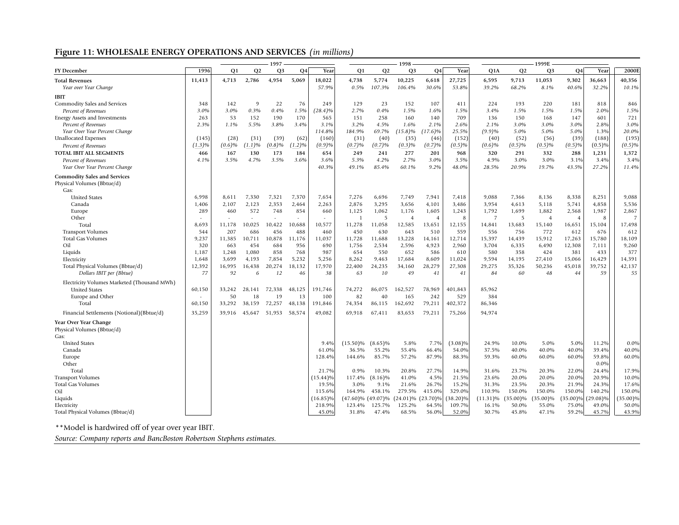# **Figure 11: WHOLESALE ENERGY OPERATIONS AND SERVICES** *(in millions)*

|                                             |           |           |                | $-1997$        |        |             |                   |            | 1998                    |                |             |                |             | $-1999E$       |                |             |                |
|---------------------------------------------|-----------|-----------|----------------|----------------|--------|-------------|-------------------|------------|-------------------------|----------------|-------------|----------------|-------------|----------------|----------------|-------------|----------------|
| <b>FY December</b>                          | 1996      | <b>O1</b> | O <sub>2</sub> | Q <sub>3</sub> | Q4     | Year        | <b>O1</b>         | Q2         | Q <sub>3</sub>          | <b>Q4</b>      | Year        | Q1A            | <b>Q2</b>   | Q <sub>3</sub> | O <sub>4</sub> | Year        | 2000E          |
| <b>Total Revenues</b>                       | 11,413    | 4,713     | 2,786          | 4,954          | 5,069  | 18,022      | 4,738             | 5,774      | 10,225                  | 6,618          | 27,725      | 6,595          | 9,713       | 11,053         | 9,302          | 36,663      | 40,356         |
| Year over Year Change                       |           |           |                |                |        | 57.9%       | 0.5%              | 107.3%     | 106.4%                  | 30.6%          | 53.8%       | 39.2%          | 68.2%       | 8.1%           | 40.6%          | 32.2%       | 10.1%          |
| <b>IBIT</b>                                 |           |           |                |                |        |             |                   |            |                         |                |             |                |             |                |                |             |                |
| Commodity Sales and Services                | 348       | 142       | $\mathbf{Q}$   | 22             | 76     | 249         | 129               | 23         | 152                     | 107            | 411         | 224            | 193         | 220            | 181            | 818         | 846            |
| Percent of Revenues                         | 3.0%      | 3.0%      | 0.3%           | 0.4%           | 1.5%   | $(28.4)\%$  | 2.7%              | 0.4%       | 1.5%                    | 1.6%           | 1.5%        | 3.4%           | 1.5%        | 1.5%           | 1.5%           | 2.0%        | 1.5%           |
| Energy Assets and Investments               | 263       | 53        | 152            | 190            | 170    | 565         | 151               | 258        | 160                     | 140            | 709         | 136            | 150         | 168            | 147            | 601         | 721            |
| Percent of Revenues                         | 2.3%      | 1.1%      | 5.5%           | 3.8%           | 3.4%   | 3.1%        | 3.2%              | 4.5%       | 1.6%                    | 2.1%           | 2.6%        | 2.1%           | 3.0%        | 3.0%           | 3.0%           | 2.8%        | 3.0%           |
| Year Over Year Percent Change               |           |           |                |                |        | 114.8%      | 184.9%            | 69.7%      | $(15.8)\%$              | $(17.6)\%$     | 25.5%       | (9.9)%         | 5.0%        | 5.0%           | 5.0%           | 1.3%        | 20.0%          |
| <b>Unallocated Expenses</b>                 | (145)     | (28)      | (31)           | (39)           | (62)   | (160)       | (31)              | (40)       | (35)                    | (46)           | (152)       | (40)           | (52)        | (56)           | (39)           | (188)       | (195)          |
| Percent of Revenues                         | $(1.3)\%$ | (0.6)%    | (1.1)%         | (0.8)%         | (1.2)% | (0.9)%      | (0.7)%            | (0.7)%     | (0.3)%                  | (0.7)%         | (0.5)%      | $(0.6)\%$      | (0.5)%      | $(0.5)\%$      | (0.5)%         | $(0.5)\%$   | $(0.5)\%$      |
| TOTAL IBIT ALL SEGMENTS                     | 466       | 167       | 130            | 173            | 184    | 654         | 249               | 241        | 277                     | 201            | 968         | 320            | 291         | 332            | 288            | 1,231       | 1,372          |
| Percent of Revenues                         | 4.1%      | 3.5%      | 4.7%           | 3.5%           | 3.6%   | 3.6%        | 5.3%              | 4.2%       | 2.7%                    | 3.0%           | 3.5%        | 4.9%           | 3.0%        | 3.0%           | 3.1%           | 3.4%        | 3.4%           |
| Year Over Year Percent Change               |           |           |                |                |        | 40.3%       | 49.1%             | 85.4%      | 60.1%                   | 9.2%           | 48.0%       | 28.5%          | 20.9%       | 19.7%          | 43.5%          | 27.2%       | 11.4%          |
|                                             |           |           |                |                |        |             |                   |            |                         |                |             |                |             |                |                |             |                |
| <b>Commodity Sales and Services</b>         |           |           |                |                |        |             |                   |            |                         |                |             |                |             |                |                |             |                |
| Physical Volumes (Bbtue/d)<br>Gas:          |           |           |                |                |        |             |                   |            |                         |                |             |                |             |                |                |             |                |
| <b>United States</b>                        | 6,998     | 8,611     | 7,330          | 7,321          | 7,370  | 7,654       | 7,276             | 6,696      | 7,749                   | 7,941          | 7,418       | 9,088          | 7,366       | 8,136          | 8,338          | 8,251       | 9,088          |
| Canada                                      | 1,406     | 2,107     | 2,123          | 2,353          | 2,464  | 2,263       | 2,876             | 3,295      | 3,656                   | 4,101          | 3,486       | 3,954          | 4,613       | 5,118          | 5,741          | 4,858       | 5,536          |
| Europe                                      | 289       | 460       | 572            | 748            | 854    | 660         | 1,125             | 1,062      | 1,176                   | 1,605          | 1,243       | 1,792          | 1,699       | 1,882          | 2,568          | 1,987       | 2,867          |
| Other                                       |           |           |                |                |        |             | 1                 | 5          | $\overline{4}$          | $\overline{4}$ | 8           | $\overline{7}$ | 5           | $\overline{4}$ | $\overline{4}$ | -8          | $\overline{7}$ |
| Total                                       | 8,693     | 11,178    | 10,025         | 10,422         | 10,688 | 10,577      | 11,278            | 11,058     | 12,585                  | 13,651         | 12,155      | 14,841         | 13,683      | 15,140         | 16,651         | 15,104      | 17,498         |
| <b>Transport Volumes</b>                    | 544       | 207       | 686            | 456            | 488    | 460         | 450               | 630        | 643                     | 510            | 559         | 556            | 756         | 772            | 612            | 676         | 612            |
| <b>Total Gas Volumes</b>                    | 9,237     | 11,385    | 10,711         | 10,878         | 11,176 | 11,037      | 11,728            | 11,688     | 13,228                  | 14,161         | 12,714      | 15,397         | 14,439      | 15,912         | 17,263         | 15,780      | 18,109         |
| Oil                                         | 320       | 663       | 454            | 684            | 956    | 690         | 1,756             | 2,534      | 2,596                   | 4,923          | 2,960       | 3,704          | 6,335       | 6,490          | 12,308         | 7,111       | 9,260          |
| Liquids                                     | 1,187     | 1,248     | 1,080          | 858            | 768    | 987         | 654               | 550        | 652                     | 586            | 610         | 580            | 358         | 424            | 381            | 433         | 377            |
| Electricity                                 | 1,648     | 3,699     | 4,193          | 7,854          | 5,232  | 5,256       | 8,262             | 9,463      | 17,684                  | 8,609          | 11,024      | 9,594          | 14,195      | 27,410         | 15,066         | 16,429      | 14,391         |
| Total Physical Volumes (Bbtue/d)            | 12,392    | 16,995    | 16,438         | 20,274         | 18,132 | 17,970      | 22,400            | 24,235     | 34,160                  | 28,279         | 27,308      | 29,275         | 35,326      | 50,236         | 45,018         | 39,752      | 42,137         |
| Dollars IBIT per (Bbtue)                    | 77        | 92        | 6              | 12             | 46     | 38          | 63                | 10         | 49                      | 41             | 41          | 84             | 60          | 48             | 44             | 59          | 55             |
| Electricity Volumes Marketed (Thousand MWh) |           |           |                |                |        |             |                   |            |                         |                |             |                |             |                |                |             |                |
| <b>United States</b>                        | 60,150    | 33,242    | 28,141         | 72,338         | 48,125 | 191,746     | 74,272            | 86,075     | 162,527                 | 78,969         | 401,843     | 85,962         |             |                |                |             |                |
| Europe and Other                            |           | 50        | 18             | 19             | 13     | 100         | 82                | 40         | 165                     | 242            | 529         | 384            |             |                |                |             |                |
| Total                                       | 60,150    | 33,292    | 38,159         | 72,257         | 48,138 | 191,846     | 74,354            | 86,115     | 162,692                 | 79,211         | 402,372     | 86,346         |             |                |                |             |                |
|                                             |           |           |                |                |        |             |                   |            |                         |                |             |                |             |                |                |             |                |
| Financial Settlements (Notional)(Bbtue/d)   | 35,259    | 39,916    | 45,647         | 51,953         | 58,574 | 49,082      | 69,918            | 67,411     | 83,653                  | 79,211         | 75,266      | 94,974         |             |                |                |             |                |
| Year Over Year Change                       |           |           |                |                |        |             |                   |            |                         |                |             |                |             |                |                |             |                |
| Physical Volumes (Bbtue/d)                  |           |           |                |                |        |             |                   |            |                         |                |             |                |             |                |                |             |                |
| Gas:                                        |           |           |                |                |        |             |                   |            |                         |                |             |                |             |                |                |             |                |
| <b>United States</b>                        |           |           |                |                |        | 9.4%        | $(15.50)\%$       | $(8.65)\%$ | 5.8%                    | 7.7%           | $(3.08)\%$  | 24.9%          | 10.0%       | 5.0%           | 5.0%           | 11.2%       | $0.0\%$        |
| Canada                                      |           |           |                |                |        | 61.0%       | 36.5%             | 55.2%      | 55.4%                   | 66.4%          | 54.0%       | 37.5%          | 40.0%       | 40.0%          | 40.0%          | 39.4%       | 40.0%          |
| Europe                                      |           |           |                |                |        | 128.4%      | 144.6%            | 85.7%      | 57.2%                   | 87.9%          | 88.3%       | 59.3%          | 60.0%       | 60.0%          | 60.0%          | 59.8%       | 60.0%          |
| Other                                       |           |           |                |                |        |             |                   |            |                         |                |             |                |             |                |                | $0.0\%$     |                |
| Total                                       |           |           |                |                |        | 21.7%       | 0.9%              | 10.3%      | 20.8%                   | 27.7%          | 14.9%       | 31.6%          | 23.7%       | 20.3%          | 22.0%          | 24.4%       | 17.9%          |
| <b>Transport Volumes</b>                    |           |           |                |                |        | $(15.44)\%$ | 117.4%            | $(8.16)\%$ | 41.0%                   | 4.5%           | 21.5%       | 23.6%          | 20.0%       | 20.0%          | 20.0%          | 20.9%       | 10.0%          |
| <b>Total Gas Volumes</b>                    |           |           |                |                |        | 19.5%       | 3.0%              | 9.1%       | 21.6%                   | 26.7%          | 15.2%       | 31.3%          | 23.5%       | 20.3%          | 21.9%          | 24.3%       | 17.6%          |
| Oil                                         |           |           |                |                |        | 115.6%      | 164.9%            | 458.1%     | 279.5%                  | 415.0%         | 329.0%      | 110.9%         | 150.0%      | 150.0%         | 150.0%         | 140.2%      | 150.0%         |
| Liquids                                     |           |           |                |                |        | $(16.85)\%$ | (47.60)% (49.07)% |            | $(24.01)\%$ $(23.70)\%$ |                | $(38.20)\%$ | $(11.31)\%$    | $(35.00)\%$ | $(35.00)\%$    | $(35.00)\%$    | $(29.08)\%$ | $(35.00)\%$    |
| Electricity                                 |           |           |                |                |        | 218.9%      | 123.4%            | 125.7%     | 125.2%                  | 64.5%          | 109.7%      | 16.1%          | 50.0%       | 55.0%          | 75.0%          | 49.0%       | 50.0%          |
| Total Physical Volumes (Bbtue/d)            |           |           |                |                |        | 45.0%       | 31.8%             | 47.4%      | 68.5%                   | 56.0%          | 52.0%       | 30.7%          | 45.8%       | 47.1%          | 59.2%          | 45.7%       | 43.9%          |

\*\*Model is hardwired off of year over year IBIT.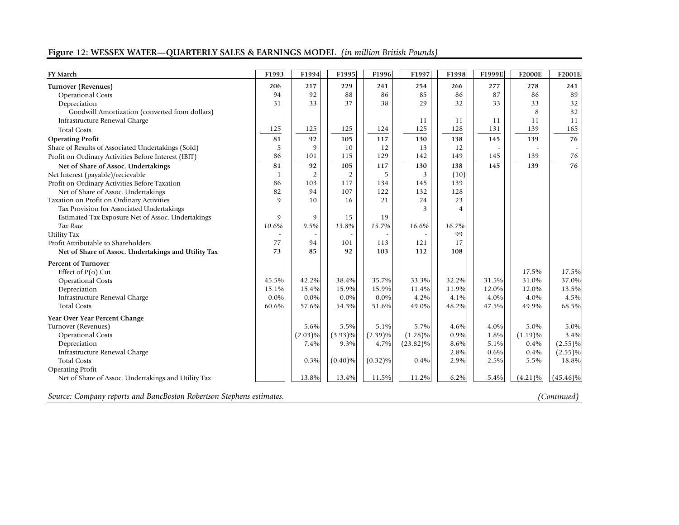# **Figure 12: WESSEX WATER—QUARTERLY SALES & EARNINGS MODEL** *(in million British Pounds)*

| <b>FY March</b>                                      | F1993        | F1994          | F1995      | F1996      | F1997       | F1998 | F1999E | <b>F2000E</b> | F2001E      |
|------------------------------------------------------|--------------|----------------|------------|------------|-------------|-------|--------|---------------|-------------|
| Turnover (Revenues)                                  | 206          | 217            | 229        | 241        | 254         | 266   | 277    | 278           | 241         |
| <b>Operational Costs</b>                             | 94           | 92             | 88         | 86         | 85          | 86    | 87     | 86            | 89          |
| Depreciation                                         | 31           | 33             | 37         | 38         | 29          | 32    | 33     | 33            | 32          |
| Goodwill Amortization (converted from dollars)       |              |                |            |            |             |       |        | 8             | 32          |
| Infrastructure Renewal Charge                        |              |                |            |            | 11          | 11    | 11     | 11            | 11          |
| <b>Total Costs</b>                                   | 125          | 125            | 125        | 124        | 125         | 128   | 131    | 139           | 165         |
| <b>Operating Profit</b>                              | 81           | 92             | 105        | 117        | 130         | 138   | 145    | 139           | 76          |
| Share of Results of Associated Undertakings (Sold)   | 5            | 9              | 10         | 12         | 13          | 12    |        |               |             |
| Profit on Ordinary Activities Before Interest (IBIT) | 86           | 101            | 115        | 129        | 142         | 149   | 145    | 139           | $76\,$      |
| Net of Share of Assoc. Undertakings                  | 81           | 92             | 105        | 117        | 130         | 138   | 145    | 139           | 76          |
| Net Interest (payable)/recievable                    | 1            | $\overline{2}$ | 2          | 5          | 3           | (10)  |        |               |             |
| Profit on Ordinary Activities Before Taxation        | 86           | 103            | 117        | 134        | 145         | 139   |        |               |             |
| Net of Share of Assoc. Undertakings                  | 82           | 94             | 107        | 122        | 132         | 128   |        |               |             |
| Taxation on Profit on Ordinary Activities            | $\mathbf{Q}$ | 10             | 16         | 21         | 24          | 23    |        |               |             |
| Tax Provision for Associated Undertakings            |              |                |            |            | 3           | 4     |        |               |             |
| Estimated Tax Exposure Net of Assoc. Undertakings    | 9            | 9              | 15         | 19         |             |       |        |               |             |
| Tax Rate                                             | 10.6%        | 9.5%           | 13.8%      | 15.7%      | 16.6%       | 16.7% |        |               |             |
| <b>Utility Tax</b>                                   |              |                |            |            |             | 99    |        |               |             |
| Profit Attributable to Shareholders                  | 77           | 94             | 101        | 113        | 121         | 17    |        |               |             |
| Net of Share of Assoc. Undertakings and Utility Tax  | 73           | 85             | 92         | 103        | 112         | 108   |        |               |             |
| <b>Percent of Turnover</b>                           |              |                |            |            |             |       |        |               |             |
| Effect of $P(o)$ Cut                                 |              |                |            |            |             |       |        | 17.5%         | 17.5%       |
| <b>Operational Costs</b>                             | 45.5%        | 42.2%          | 38.4%      | 35.7%      | 33.3%       | 32.2% | 31.5%  | 31.0%         | 37.0%       |
| Depreciation                                         | 15.1%        | 15.4%          | 15.9%      | 15.9%      | 11.4%       | 11.9% | 12.0%  | 12.0%         | 13.5%       |
| Infrastructure Renewal Charge                        | $0.0\%$      | $0.0\%$        | $0.0\%$    | $0.0\%$    | 4.2%        | 4.1%  | 4.0%   | 4.0%          | 4.5%        |
| <b>Total Costs</b>                                   | 60.6%        | 57.6%          | 54.3%      | 51.6%      | 49.0%       | 48.2% | 47.5%  | 49.9%         | 68.5%       |
| Year Over Year Percent Change                        |              |                |            |            |             |       |        |               |             |
| Turnover (Revenues)                                  |              | 5.6%           | 5.5%       | 5.1%       | 5.7%        | 4.6%  | 4.0%   | 5.0%          | 5.0%        |
| <b>Operational Costs</b>                             |              | $(2.03)\%$     | $(3.93)\%$ | $(2.39)\%$ | $(1.28)\%$  | 0.9%  | 1.8%   | $(1.19)\%$    | 3.4%        |
| Depreciation                                         |              | 7.4%           | 9.3%       | 4.7%       | $(23.82)\%$ | 8.6%  | 5.1%   | 0.4%          | $(2.55)\%$  |
| Infrastructure Renewal Charge                        |              |                |            |            |             | 2.8%  | 0.6%   | 0.4%          | $(2.55)\%$  |
| <b>Total Costs</b>                                   |              | 0.3%           | $(0.40)\%$ | $(0.32)\%$ | 0.4%        | 2.9%  | 2.5%   | 5.5%          | 18.8%       |
| <b>Operating Profit</b>                              |              |                |            |            |             |       |        |               |             |
| Net of Share of Assoc. Undertakings and Utility Tax  |              | 13.8%          | 13.4%      | 11.5%      | 11.2%       | 6.2%  | 5.4%   | $(4.21)\%$    | $(45.46)\%$ |
|                                                      |              |                |            |            |             |       |        |               |             |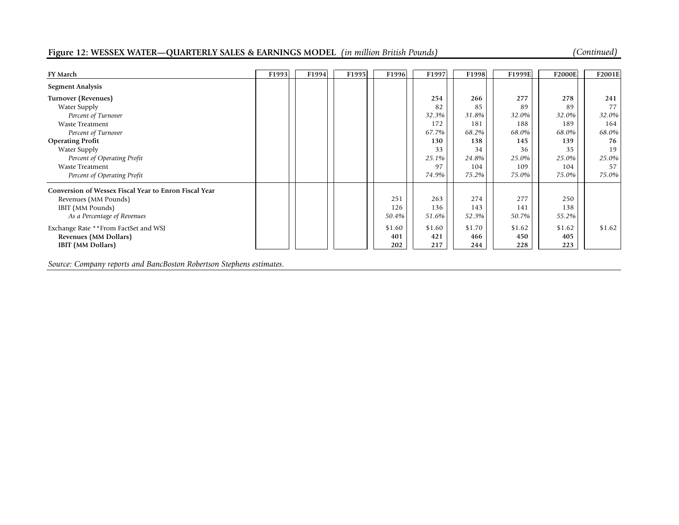# **Figure 12: WESSEX WATER—QUARTERLY SALES & EARNINGS MODEL** *(in million British Pounds) (Continued)*

| <b>FY March</b>                                       | F1993 | F1994 | F1995 | F1996  | F1997  | F1998  | F1999E | <b>F2000E</b> | F2001E   |
|-------------------------------------------------------|-------|-------|-------|--------|--------|--------|--------|---------------|----------|
| <b>Segment Analysis</b>                               |       |       |       |        |        |        |        |               |          |
| Turnover (Revenues)                                   |       |       |       |        | 254    | 266    | 277    | 278           | 241      |
| Water Supply                                          |       |       |       |        | 82     | 85     | 89     | 89            | 77       |
| Percent of Turnover                                   |       |       |       |        | 32.3%  | 31.8%  | 32.0%  | 32.0%         | $32.0\%$ |
| <b>Waste Treatment</b>                                |       |       |       |        | 172    | 181    | 188    | 189           | 164      |
| Percent of Turnover                                   |       |       |       |        | 67.7%  | 68.2%  | 68.0%  | 68.0%         | 68.0%    |
| <b>Operating Profit</b>                               |       |       |       |        | 130    | 138    | 145    | 139           | 76       |
| Water Supply                                          |       |       |       |        | 33     | 34     | 36     | 35            | 19       |
| Percent of Operating Profit                           |       |       |       |        | 25.1%  | 24.8%  | 25.0%  | 25.0%         | 25.0%    |
| Waste Treatment                                       |       |       |       |        | 97     | 104    | 109    | 104           | 57       |
| Percent of Operating Profit                           |       |       |       |        | 74.9%  | 75.2%  | 75.0%  | 75.0%         | 75.0%    |
| Conversion of Wessex Fiscal Year to Enron Fiscal Year |       |       |       |        |        |        |        |               |          |
| Revenues (MM Pounds)                                  |       |       |       | 251    | 263    | 274    | 277    | 250           |          |
| IBIT (MM Pounds)                                      |       |       |       | 126    | 136    | 143    | 141    | 138           |          |
| As a Percentage of Revenues                           |       |       |       | 50.4%  | 51.6%  | 52.3%  | 50.7%  | 55.2%         |          |
| Exchange Rate ** From FactSet and WSJ                 |       |       |       | \$1.60 | \$1.60 | \$1.70 | \$1.62 | \$1.62        | \$1.62   |
| Revenues (MM Dollars)                                 |       |       |       | 401    | 421    | 466    | 450    | 405           |          |
| <b>IBIT</b> (MM Dollars)                              |       |       |       | 202    | 217    | 244    | 228    | 223           |          |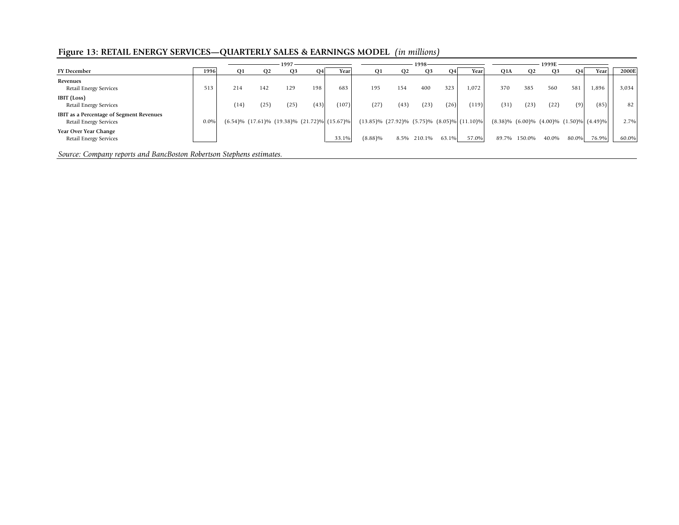# **Figure 13: RETAIL ENERGY SERVICES—QUARTERLY SALES & EARNINGS MODEL** *(in millions)*

|                                                                                                                                                                         |      |      |      | $1997 -$  |      |                                                            |            |                                                           | 1998-       |           |       | 1999E |                       |                       |       |            |       |
|-------------------------------------------------------------------------------------------------------------------------------------------------------------------------|------|------|------|-----------|------|------------------------------------------------------------|------------|-----------------------------------------------------------|-------------|-----------|-------|-------|-----------------------|-----------------------|-------|------------|-------|
| <b>FY December</b>                                                                                                                                                      | 1996 | O1   |      | <b>O3</b> | Q4   | Year                                                       |            |                                                           | <b>O3</b>   | <b>O4</b> | Year  | Q1A   |                       | <b>O3</b>             | O4    | Year       | 2000E |
| Revenues<br>Retail Energy Services                                                                                                                                      | 513  | 214  | 142  | 129       | 198  | 683                                                        | 195        | 154                                                       | 400         | 323       | 1,072 | 370   | 385                   | 560                   | 581   | 1,896      | 3,034 |
| <b>IBIT</b> (Loss)<br>Retail Energy Services                                                                                                                            |      | (14) | (25) | (25)      | (43) | (107)                                                      | (27)       | (43)                                                      | (23)        | (26)      | (119) | (31)  | (23)                  | (22)                  | (9)   | (85)       | 82    |
| IBIT as a Percentage of Segment Revenues<br>Retail Energy Services                                                                                                      | 0.0% |      |      |           |      | $(6.54)\%$ $(17.61)\%$ $(19.38)\%$ $(21.72)\%$ $(15.67)\%$ |            | $(13.85)\%$ $(27.92)\%$ $(5.75)\%$ $(8.05)\%$ $(11.10)\%$ |             |           |       |       | $(8.38)\%$ $(6.00)\%$ | $(4.00)\%$ $(1.50)\%$ |       | $(4.49)\%$ | 2.7%  |
| Year Over Year Change<br>Retail Energy Services                                                                                                                         |      |      |      |           |      | 33.1%                                                      | $(8.88)\%$ |                                                           | 8.5% 210.1% | 63.1%     | 57.0% | 89.7% | 150.0%                | 40.0%                 | 80.0% | 76.9%      | 60.0% |
| $\mathbf{1} \cdot \mathbf{n}$ $\mathbf{n} \cdot \mathbf{n}$ $\mathbf{1} \cdot \mathbf{n}$ $\mathbf{n} \cdot \mathbf{n}$<br>$\sim$<br>$\sim$ $\sim$ $\sim$ $\sim$ $\sim$ |      |      |      |           |      |                                                            |            |                                                           |             |           |       |       |                       |                       |       |            |       |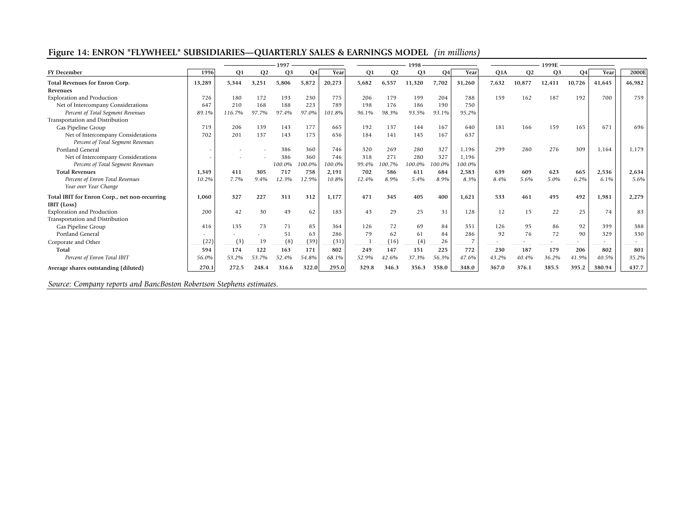# **Figure 14: ENRON "FLYWHEEL" SUBSIDIARIES—QUARTERLY SALES & EARNINGS MODEL** *(in millions)*

|                                                                                                                                                                   |                |           |                | 1997           |        |        |       |                | 1998           |                |                |                          |                |                |        |        |        |
|-------------------------------------------------------------------------------------------------------------------------------------------------------------------|----------------|-----------|----------------|----------------|--------|--------|-------|----------------|----------------|----------------|----------------|--------------------------|----------------|----------------|--------|--------|--------|
| <b>FY</b> December                                                                                                                                                | 1996           | <b>O1</b> | O <sub>2</sub> | O <sub>3</sub> | O4     | Year   | Q1    | O <sub>2</sub> | Q <sub>3</sub> | Q <sub>4</sub> | Year           | Q1A                      | O <sub>2</sub> | Q <sub>3</sub> | Q4     | Year   | 2000E  |
| Total Revenues for Enron Corp.                                                                                                                                    | 13,289         | 5,344     | 3,251          | 5,806          | 5,872  | 20,273 | 5,682 | 6,557          | 11,320         | 7,702          | 31,260         | 7,632                    | 10.877         | 12,411         | 10,726 | 41.645 | 46,982 |
| Revenues                                                                                                                                                          |                |           |                |                |        |        |       |                |                |                |                |                          |                |                |        |        |        |
| <b>Exploration and Production</b>                                                                                                                                 | 726            | 180       | 172            | 193            | 230    | 775    | 206   | 179            | 199            | 204            | 788            | 159                      | 162            | 187            | 192    | 700    | 759    |
| Net of Intercompany Considerations                                                                                                                                | 647            | 210       | 168            | 188            | 223    | 789    | 198   | 176            | 186            | 190            | 750            |                          |                |                |        |        |        |
| Percent of Total Segment Revenues                                                                                                                                 | 89.1%          | 116.7%    | 97.7%          | 97.4%          | 97.0%  | 101.8% | 96.1% | 98.3%          | 93.5%          | 93.1%          | 95.2%          |                          |                |                |        |        |        |
| Transportation and Distribution                                                                                                                                   |                |           |                |                |        |        |       |                |                |                |                |                          |                |                |        |        |        |
| Gas Pipeline Group                                                                                                                                                | 719            | 206       | 139            | 143            | 177    | 665    | 192   | 137            | 144            | 167            | 640            | 181                      | 166            | 159            | 165    | 671    | 696    |
| Net of Intercompany Considerations                                                                                                                                | 702            | 201       | 137            | 143            | 175    | 656    | 184   | 141            | 145            | 167            | 637            |                          |                |                |        |        |        |
| Percent of Total Segment Revenues                                                                                                                                 |                |           |                |                |        |        |       |                |                |                |                |                          |                |                |        |        |        |
| Portland General                                                                                                                                                  |                |           |                | 386            | 360    | 746    | 320   | 269            | 280            | 327            | 1,196          | 299                      | 280            | 276            | 309    | 1,164  | 1,179  |
| Net of Intercompany Considerations                                                                                                                                |                |           |                | 386            | 360    | 746    | 318   | 271            | 280            | 327            | 1,196          |                          |                |                |        |        |        |
| Percent of Total Segment Revenues                                                                                                                                 |                |           |                | 100.0%         | 100.0% | 100.0% | 99.4% | 100.7%         | 100.0%         | 100.0%         | 100.0%         |                          |                |                |        |        |        |
| <b>Total Revenues</b>                                                                                                                                             | 1,349          | 411       | 305            | 717            | 758    | 2,191  | 702   | 586            | 611            | 684            | 2,583          | 639                      | 609            | 623            | 665    | 2,536  | 2,634  |
| Percent of Enron Total Revenues                                                                                                                                   | 10.2%          | 7.7%      | 9.4%           | 12.3%          | 12.9%  | 10.8%  | 12.4% | 8.9%           | 5.4%           | 8.9%           | 8.3%           | 8.4%                     | 5.6%           | 5.0%           | 6.2%   | 6.1%   | 5.6%   |
| Year over Year Change                                                                                                                                             |                |           |                |                |        |        |       |                |                |                |                |                          |                |                |        |        |        |
| Total IBIT for Enron Corp., net non-recurring                                                                                                                     | 1,060          | 327       | 227            | 311            | 312    | 1.177  | 471   | 345            | 405            | 400            | 1,621          | 533                      | 461            | 495            | 492    | 1,981  | 2,279  |
| IBIT (Loss)                                                                                                                                                       |                |           |                |                |        |        |       |                |                |                |                |                          |                |                |        |        |        |
| <b>Exploration and Production</b>                                                                                                                                 | 200            | 42        | 30             | 49             | 62     | 183    | 43    | 29             | 25             | 31             | 128            | 12                       | 15             | 22             | 25     | 74     | 83     |
| Transportation and Distribution                                                                                                                                   |                |           |                |                |        |        |       |                |                |                |                |                          |                |                |        |        |        |
| Gas Pipeline Group                                                                                                                                                | 416            | 135       | 73             | 71             | 85     | 364    | 126   | 72             | 69             | 84             | 351            | 126                      | 95             | 86             | 92     | 399    | 388    |
| Portland General                                                                                                                                                  |                |           |                | 51             | 63     | 286    | 79    | 62             | 61             | 84             | 286            | 92                       | 76             | 72             | 90     | 329    | 330    |
| Corporate and Other                                                                                                                                               | (22)           | (3)       | 19             | (8)            | (39)   | (31)   |       | (16)           | (4)            | 26             | $\overline{7}$ | $\overline{\phantom{a}}$ |                |                | $\sim$ |        |        |
| Total                                                                                                                                                             | 594            | 174       | 122            | 163            | 171    | 802    | 249   | 147            | 151            | 225            | 772            | 230                      | 187            | 179            | 206    | 802    | 801    |
| Percent of Enron Total IBIT                                                                                                                                       | 56.0%          | 53.2%     | 53.7%          | 52.4%          | 54.8%  | 68.1%  | 52.9% | 42.6%          | 37.3%          | 56.3%          | 47.6%          | 43.2%                    | 40.4%          | 36.2%          | 41.9%  | 40.5%  | 35.2%  |
| Average shares outstanding (diluted)                                                                                                                              | 270.1          | 272.5     | 248.4          | 316.6          | 322.0  | 295.0  | 329.8 | 346.3          | 356.3          | 358.0          | 348.0          | 367.0                    | 376.1          | 385.5          | 395.2  | 380.94 | 437.7  |
| $1 \, \textsf{n}$ n $\cdot$<br>$\circ$ $\circ$<br>the contract of the contract of the contract of the contract of the contract of the contract of the contract of | $\mathbf{r}$ 1 |           |                |                |        |        |       |                |                |                |                |                          |                |                |        |        |        |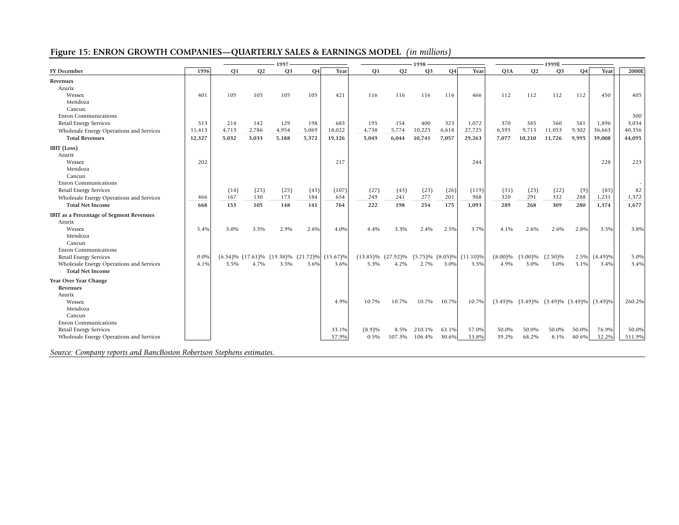# **Figure 15: ENRON GROWTH COMPANIES—QUARTERLY SALES & EARNINGS MODEL** *(in millions)*

|                                          | 1997   |                |           |                |           |                                                            |                |                         |                       |           |             |            |                |                |           |                                  |        |
|------------------------------------------|--------|----------------|-----------|----------------|-----------|------------------------------------------------------------|----------------|-------------------------|-----------------------|-----------|-------------|------------|----------------|----------------|-----------|----------------------------------|--------|
| <b>FY December</b>                       | 1996   | O <sub>1</sub> | <b>O2</b> | Q <sub>3</sub> | <b>O4</b> | Year                                                       | O <sub>1</sub> | O <sub>2</sub>          | O <sub>3</sub>        | <b>O4</b> | Year        | Q1A        | O <sub>2</sub> | Q <sub>3</sub> | <b>O4</b> | Year                             | 2000E  |
| Revenues                                 |        |                |           |                |           |                                                            |                |                         |                       |           |             |            |                |                |           |                                  |        |
| Azurix                                   |        |                |           |                |           |                                                            |                |                         |                       |           |             |            |                |                |           |                                  |        |
| Wessex                                   | 401    | 105            | 105       | 105            | 105       | 421                                                        | 116            | 116                     | 116                   | 116       | 466         | 112        | 112            | 112            | 112       | 450                              | 405    |
| Mendoza                                  |        |                |           |                |           |                                                            |                |                         |                       |           |             |            |                |                |           |                                  |        |
| Cancun                                   |        |                |           |                |           |                                                            |                |                         |                       |           |             |            |                |                |           |                                  |        |
| <b>Enron Communications</b>              |        |                |           |                |           |                                                            |                |                         |                       |           |             |            |                |                |           |                                  | 300    |
| <b>Retail Energy Services</b>            | 513    | 214            | 142       | 129            | 198       | 683                                                        | 195            | 154                     | 400                   | 323       | 1,072       | 370        | 385            | 560            | 581       | 1.896                            | 3,034  |
| Wholesale Energy Operations and Services | 11,413 | 4,713          | 2,786     | 4,954          | 5,069     | 18,022                                                     | 4,738          | 5,774                   | 10,225                | 6,618     | 27,725      | 6,595      | 9,713          | 11,053         | 9,302     | 36,663                           | 40,356 |
| <b>Total Revenues</b>                    | 12,327 | 5,032          | 3,033     | 5,188          | 5,372     | 19,126                                                     | 5,049          | 6,044                   | 10,741                | 7,057     | 29,263      | 7,077      | 10,210         | 11,726         | 9,995     | 39,008                           | 44,095 |
| IBIT (Loss)                              |        |                |           |                |           |                                                            |                |                         |                       |           |             |            |                |                |           |                                  |        |
| Azurix                                   |        |                |           |                |           |                                                            |                |                         |                       |           |             |            |                |                |           |                                  |        |
| Wessex                                   | 202    |                |           |                |           | 217                                                        |                |                         |                       |           | 244         |            |                |                |           | 228                              | 223    |
| Mendoza                                  |        |                |           |                |           |                                                            |                |                         |                       |           |             |            |                |                |           |                                  |        |
| Cancun                                   |        |                |           |                |           |                                                            |                |                         |                       |           |             |            |                |                |           |                                  |        |
| <b>Enron Communications</b>              |        |                |           |                |           |                                                            |                |                         |                       |           |             |            |                |                |           |                                  |        |
| Retail Energy Services                   |        | (14)           | (25)      | (25)           | (43)      | (107)                                                      | (27)           | (43)                    | (23)                  | (26)      | (119)       | (31)       | (23)           | (22)           | (9)       | (85)                             | 82     |
| Wholesale Energy Operations and Services | 466    | 167            | 130       | 173            | 184       | 654                                                        | 249            | 241                     | 277                   | 201       | 968         | 320        | 291            | 332            | 288       | 1,231                            | 1,372  |
| <b>Total Net Income</b>                  | 668    | 153            | 105       | 148            | 141       | 764                                                        | 222            | 198                     | 254                   | 175       | 1,093       | 289        | 268            | 309            | 280       | 1,374                            | 1,677  |
| IBIT as a Percentage of Segment Revenues |        |                |           |                |           |                                                            |                |                         |                       |           |             |            |                |                |           |                                  |        |
| Azurix                                   |        |                |           |                |           |                                                            |                |                         |                       |           |             |            |                |                |           |                                  |        |
| Wessex                                   | 5.4%   | 3.0%           | 3.5%      | 2.9%           | 2.6%      | 4.0%                                                       | 4.4%           | 3.3%                    | 2.4%                  | 2.5%      | 3.7%        | 4.1%       | 2.6%           | 2.6%           | 2.8%      | 3.5%                             | 3.8%   |
| Mendoza                                  |        |                |           |                |           |                                                            |                |                         |                       |           |             |            |                |                |           |                                  |        |
| Cancun                                   |        |                |           |                |           |                                                            |                |                         |                       |           |             |            |                |                |           |                                  |        |
| <b>Enron Communications</b>              |        |                |           |                |           |                                                            |                |                         |                       |           |             |            |                |                |           |                                  |        |
| <b>Retail Energy Services</b>            | 0.0%   |                |           |                |           | $(6.54)\%$ $(17.61)\%$ $(19.38)\%$ $(21.72)\%$ $(15.67)\%$ |                | $(13.85)\%$ $(27.92)\%$ | $(5.75)\%$ $(8.05)\%$ |           | $(11.10)\%$ | $(8.00)\%$ | $(5.00)\%$     | $(2.50)\%$     |           | 2.5% (4.49)%                     | 5.0%   |
| Wholesale Energy Operations and Services | 4.1%   | 3.5%           | 4.7%      | 3.5%           | 3.6%      | 3.6%                                                       | 5.3%           | 4.2%                    | 2.7%                  | 3.0%      | 3.5%        | 4.9%       | 3.0%           | 3.0%           | 3.1%      | 3.4%                             | 3.4%   |
| <b>Total Net Income</b>                  |        |                |           |                |           |                                                            |                |                         |                       |           |             |            |                |                |           |                                  |        |
| Year Over Year Change                    |        |                |           |                |           |                                                            |                |                         |                       |           |             |            |                |                |           |                                  |        |
| Revenues                                 |        |                |           |                |           |                                                            |                |                         |                       |           |             |            |                |                |           |                                  |        |
| Azurix                                   |        |                |           |                |           |                                                            |                |                         |                       |           |             |            |                |                |           |                                  |        |
| Wessex                                   |        |                |           |                |           | 4.9%                                                       | 10.7%          | 10.7%                   | 10.7%                 | 10.7%     | 10.7%       | $(3.49)\%$ | $(3.49)\%$     |                |           | $(3.49)\%$ $(3.49)\%$ $(3.49)\%$ | 260.2% |
| Mendoza                                  |        |                |           |                |           |                                                            |                |                         |                       |           |             |            |                |                |           |                                  |        |
| Cancun                                   |        |                |           |                |           |                                                            |                |                         |                       |           |             |            |                |                |           |                                  |        |
| <b>Enron Communications</b>              |        |                |           |                |           |                                                            |                |                         |                       |           |             |            |                |                |           |                                  |        |
| <b>Retail Energy Services</b>            |        |                |           |                |           | 33.1%                                                      | (8.9)%         | 8.5%                    | 210.1%                | 63.1%     | 57.0%       | 50.0%      | 50.0%          | 50.0%          | 50.0%     | 76.9%                            | 50.0%  |
| Wholesale Energy Operations and Services |        |                |           |                |           | 57.9%                                                      | 0.5%           | 107.3%                  | 106.4%                | 30.6%     | 53.8%       | 39.2%      | 68.2%          | 8.1%           | 40.6%     | 32.2%                            | 511.9% |
|                                          |        |                |           |                |           |                                                            |                |                         |                       |           |             |            |                |                |           |                                  |        |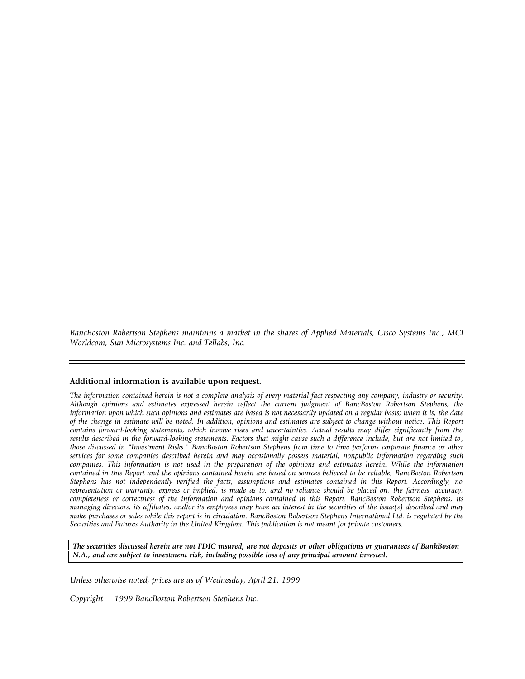*BancBoston Robertson Stephens maintains a market in the shares of Applied Materials, Cisco Systems Inc., MCI Worldcom, Sun Microsystems Inc. and Tellabs, Inc.*

#### **Additional information is available upon request.**

*The information contained herein is not a complete analysis of every material fact respecting any company, industry or security. Although opinions and estimates expressed herein reflect the current judgment of BancBoston Robertson Stephens, the information upon which such opinions and estimates are based is not necessarily updated on a regular basis; when it is, the date of the change in estimate will be noted. In addition, opinions and estimates are subject to change without notice. This Report contains forward-looking statements, which involve risks and uncertainties. Actual results may differ significantly from the results described in the forward-looking statements. Factors that might cause such a difference include, but are not limited to , those discussed in "Investment Risks." BancBoston Robertson Stephens from time to time performs corporate finance or other services for some companies described herein and may occasionally possess material, nonpublic information regarding such companies. This information is not used in the preparation of the opinions and estimates herein. While the information contained in this Report and the opinions contained herein are based on sources believed to be reliable, BancBoston Robertson Stephens has not independently verified the facts, assumptions and estimates contained in this Report. Accordingly, no representation or warranty, express or implied, is made as to, and no reliance should be placed on, the fairness, accuracy, completeness or correctness of the information and opinions contained in this Report. BancBoston Robertson Stephens, its managing directors, its affiliates, and/or its employees may have an interest in the securities of the issue(s) described and may make purchases or sales while this report is in circulation. BancBoston Robertson Stephens International Ltd. is regulated by the Securities and Futures Authority in the United Kingdom. This publication is not meant for private customers.*

*The securities discussed herein are not FDIC insured, are not deposits or other obligations or guarantees of BankBoston N.A., and are subject to investment risk, including possible loss of any principal amount invested.*

*Unless otherwise noted, prices are as of Wednesday, April 21, 1999.*

*Copyright 1999 BancBoston Robertson Stephens Inc.*